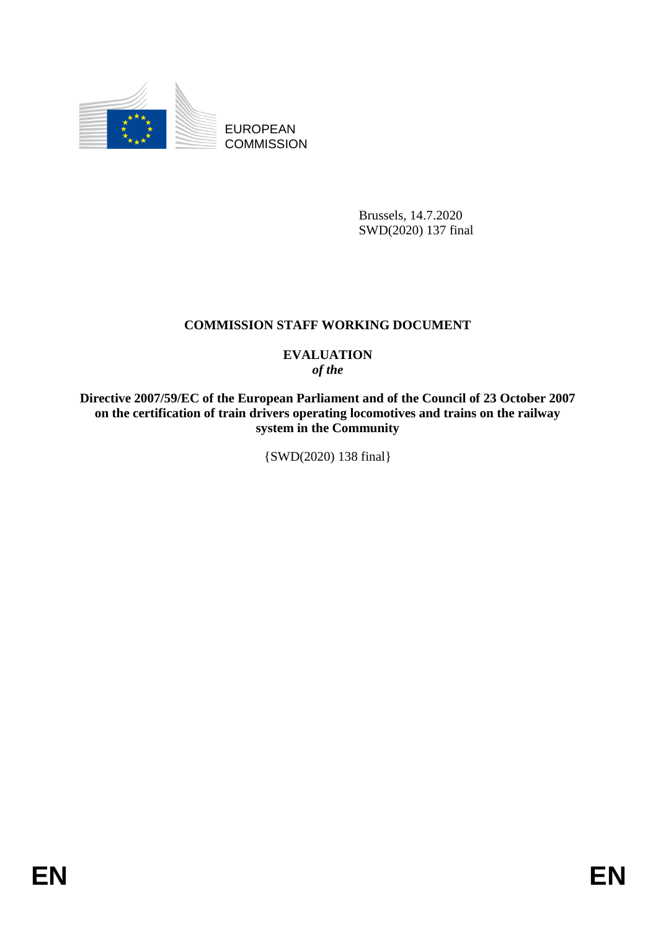

EUROPEAN **COMMISSION** 

> Brussels, 14.7.2020 SWD(2020) 137 final

# **COMMISSION STAFF WORKING DOCUMENT**

# **EVALUATION** *of the*

**Directive 2007/59/EC of the European Parliament and of the Council of 23 October 2007 on the certification of train drivers operating locomotives and trains on the railway system in the Community**

{SWD(2020) 138 final}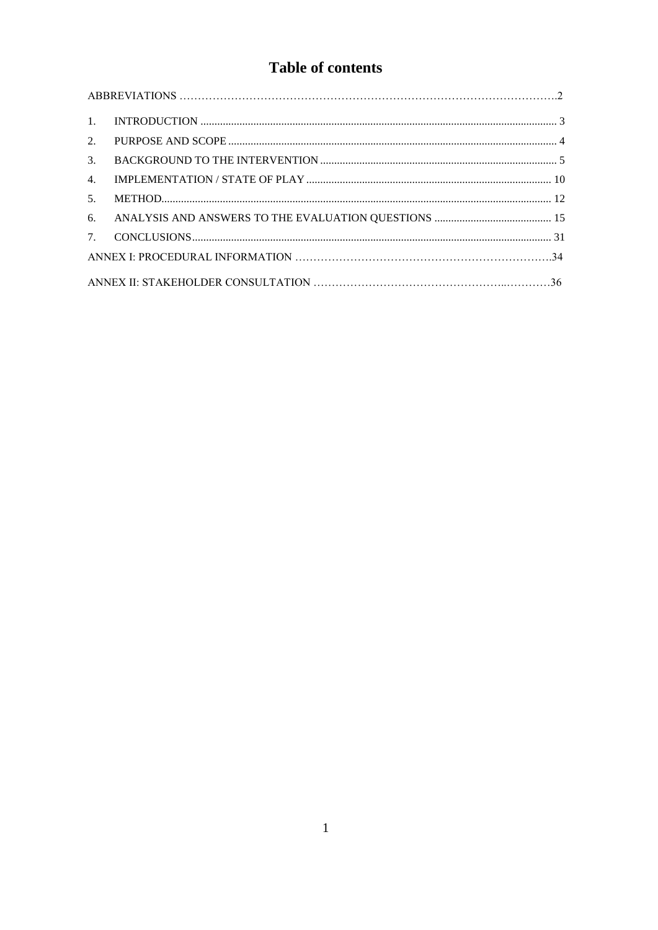# Table of contents

| $\overline{1}$ . |  |  |  |
|------------------|--|--|--|
| $2^{1}$          |  |  |  |
| $\mathcal{E}$    |  |  |  |
| $\mathbf{4}$ .   |  |  |  |
| 5 <sub>1</sub>   |  |  |  |
| 6.               |  |  |  |
| 7.               |  |  |  |
|                  |  |  |  |
|                  |  |  |  |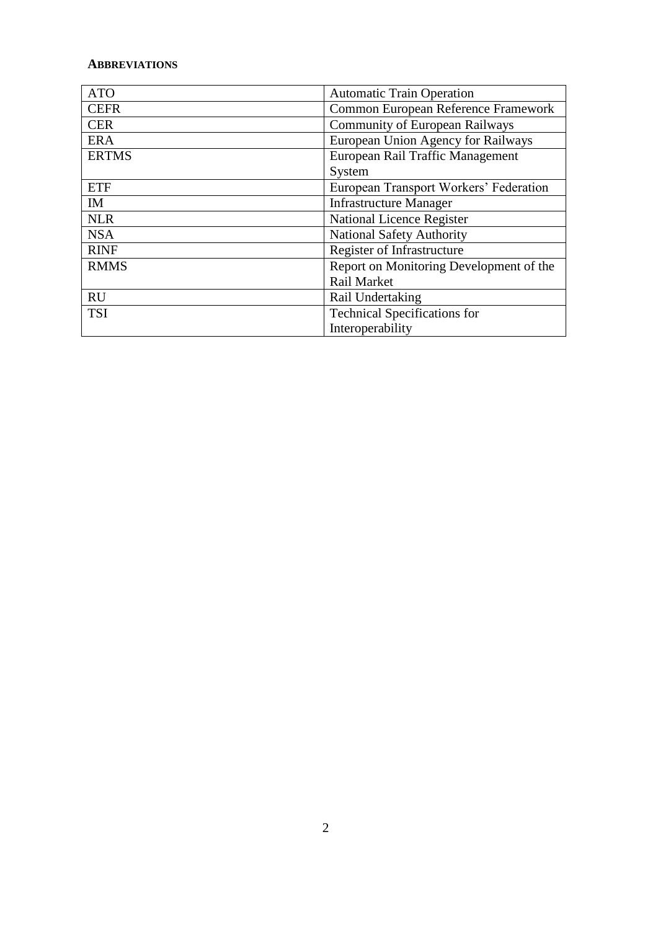## **ABBREVIATIONS**

| <b>ATO</b>   | <b>Automatic Train Operation</b>        |  |
|--------------|-----------------------------------------|--|
| <b>CEFR</b>  | Common European Reference Framework     |  |
| <b>CER</b>   | <b>Community of European Railways</b>   |  |
| <b>ERA</b>   | European Union Agency for Railways      |  |
| <b>ERTMS</b> | European Rail Traffic Management        |  |
|              | System                                  |  |
| <b>ETF</b>   | European Transport Workers' Federation  |  |
| <b>IM</b>    | <b>Infrastructure Manager</b>           |  |
| <b>NLR</b>   | <b>National Licence Register</b>        |  |
| <b>NSA</b>   | <b>National Safety Authority</b>        |  |
| <b>RINF</b>  | Register of Infrastructure              |  |
| <b>RMMS</b>  | Report on Monitoring Development of the |  |
|              | <b>Rail Market</b>                      |  |
| <b>RU</b>    | Rail Undertaking                        |  |
| <b>TSI</b>   | <b>Technical Specifications for</b>     |  |
|              | Interoperability                        |  |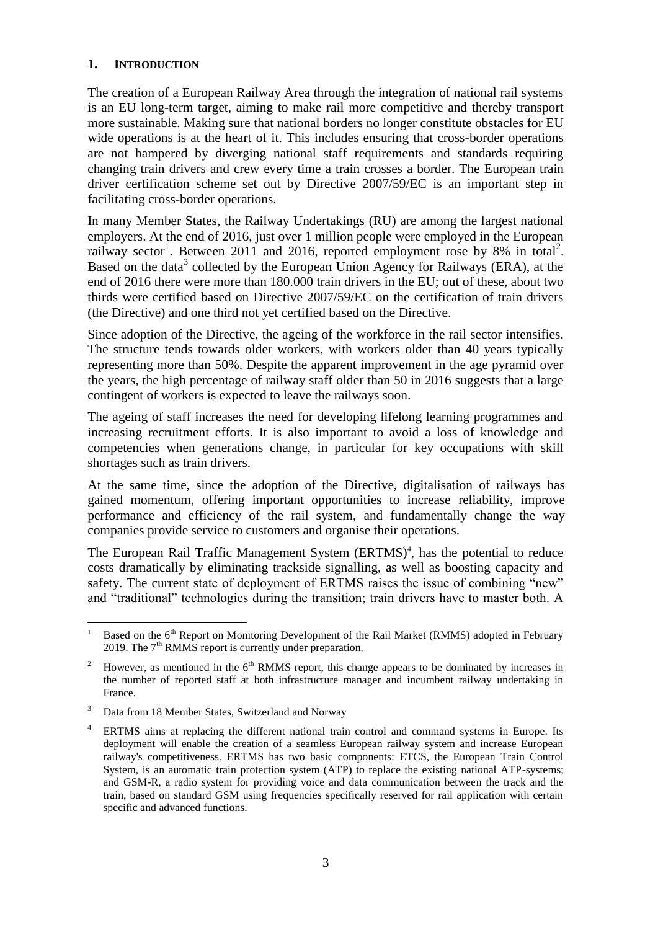# <span id="page-3-0"></span>**1. INTRODUCTION**

The creation of a European Railway Area through the integration of national rail systems is an EU long-term target, aiming to make rail more competitive and thereby transport more sustainable. Making sure that national borders no longer constitute obstacles for EU wide operations is at the heart of it. This includes ensuring that cross-border operations are not hampered by diverging national staff requirements and standards requiring changing train drivers and crew every time a train crosses a border. The European train driver certification scheme set out by Directive 2007/59/EC is an important step in facilitating cross-border operations.

In many Member States, the Railway Undertakings (RU) are among the largest national employers. At the end of 2016, just over 1 million people were employed in the European railway sector<sup>1</sup>. Between 2011 and 2016, reported employment rose by 8% in total<sup>2</sup>. Based on the data<sup>3</sup> collected by the European Union Agency for Railways (ERA), at the end of 2016 there were more than 180.000 train drivers in the EU; out of these, about two thirds were certified based on Directive 2007/59/EC on the certification of train drivers (the Directive) and one third not yet certified based on the Directive.

Since adoption of the Directive, the ageing of the workforce in the rail sector intensifies. The structure tends towards older workers, with workers older than 40 years typically representing more than 50%. Despite the apparent improvement in the age pyramid over the years, the high percentage of railway staff older than 50 in 2016 suggests that a large contingent of workers is expected to leave the railways soon.

The ageing of staff increases the need for developing lifelong learning programmes and increasing recruitment efforts. It is also important to avoid a loss of knowledge and competencies when generations change, in particular for key occupations with skill shortages such as train drivers.

At the same time, since the adoption of the Directive, digitalisation of railways has gained momentum, offering important opportunities to increase reliability, improve performance and efficiency of the rail system, and fundamentally change the way companies provide service to customers and organise their operations.

The European Rail Traffic Management System (ERTMS)<sup>4</sup>, has the potential to reduce costs dramatically by eliminating trackside signalling, as well as boosting capacity and safety. The current state of deployment of ERTMS raises the issue of combining "new" and "traditional" technologies during the transition; train drivers have to master both. A

 $\overline{a}$ Based on the 6<sup>th</sup> Report on Monitoring Development of the Rail Market (RMMS) adopted in February 2019. The  $7<sup>th</sup>$  RMMS report is currently under preparation.

<sup>&</sup>lt;sup>2</sup> However, as mentioned in the  $6<sup>th</sup>$  RMMS report, this change appears to be dominated by increases in the number of reported staff at both infrastructure manager and incumbent railway undertaking in France.

<sup>&</sup>lt;sup>3</sup> Data from 18 Member States, Switzerland and Norway

<sup>4</sup> ERTMS aims at replacing the different national train control and command systems in Europe. Its deployment will enable the creation of a seamless European railway system and increase European railway's competitiveness. ERTMS has two basic components: ETCS, the European Train Control System, is an automatic train protection system (ATP) to replace the existing national ATP-systems; and GSM-R, a radio system for providing voice and data communication between the track and the train, based on standard GSM using frequencies specifically reserved for rail application with certain specific and advanced functions.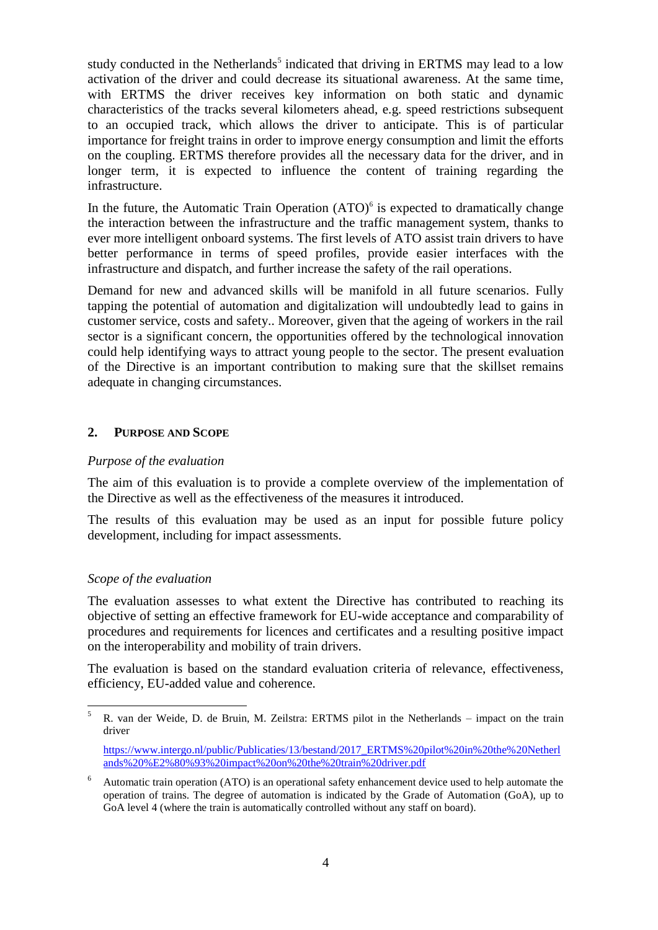study conducted in the Netherlands<sup>5</sup> indicated that driving in ERTMS may lead to a low activation of the driver and could decrease its situational awareness. At the same time, with ERTMS the driver receives key information on both static and dynamic characteristics of the tracks several kilometers ahead, e.g. speed restrictions subsequent to an occupied track, which allows the driver to anticipate. This is of particular importance for freight trains in order to improve energy consumption and limit the efforts on the coupling. ERTMS therefore provides all the necessary data for the driver, and in longer term, it is expected to influence the content of training regarding the infrastructure.

In the future, the Automatic Train Operation  $(ATO)^6$  is expected to dramatically change the interaction between the infrastructure and the traffic management system, thanks to ever more intelligent onboard systems. The first levels of ATO assist train drivers to have better performance in terms of speed profiles, provide easier interfaces with the infrastructure and dispatch, and further increase the safety of the rail operations.

Demand for new and advanced skills will be manifold in all future scenarios. Fully tapping the potential of automation and digitalization will undoubtedly lead to gains in customer service, costs and safety.. Moreover, given that the ageing of workers in the rail sector is a significant concern, the opportunities offered by the technological innovation could help identifying ways to attract young people to the sector. The present evaluation of the Directive is an important contribution to making sure that the skillset remains adequate in changing circumstances.

#### <span id="page-4-0"></span>**2. PURPOSE AND SCOPE**

#### *Purpose of the evaluation*

The aim of this evaluation is to provide a complete overview of the implementation of the Directive as well as the effectiveness of the measures it introduced.

The results of this evaluation may be used as an input for possible future policy development, including for impact assessments.

#### *Scope of the evaluation*

 $\overline{a}$ 

The evaluation assesses to what extent the Directive has contributed to reaching its objective of setting an effective framework for EU-wide acceptance and comparability of procedures and requirements for licences and certificates and a resulting positive impact on the interoperability and mobility of train drivers.

The evaluation is based on the standard evaluation criteria of relevance, effectiveness, efficiency, EU-added value and coherence.

<sup>5</sup> R. van der Weide, D. de Bruin, M. Zeilstra: ERTMS pilot in the Netherlands – impact on the train driver

[https://www.intergo.nl/public/Publicaties/13/bestand/2017\\_ERTMS%20pilot%20in%20the%20Netherl](https://www.intergo.nl/public/Publicaties/13/bestand/2017_ERTMS%20pilot%20in%20the%20Netherlands%20%E2%80%93%20impact%20on%20the%20train%20driver.pdf) [ands%20%E2%80%93%20impact%20on%20the%20train%20driver.pdf](https://www.intergo.nl/public/Publicaties/13/bestand/2017_ERTMS%20pilot%20in%20the%20Netherlands%20%E2%80%93%20impact%20on%20the%20train%20driver.pdf)

<sup>6</sup> Automatic train operation (ATO) is an operational safety enhancement device used to help automate the operation of trains. The degree of automation is indicated by the Grade of Automation (GoA), up to GoA level 4 (where the train is automatically controlled without any staff on board).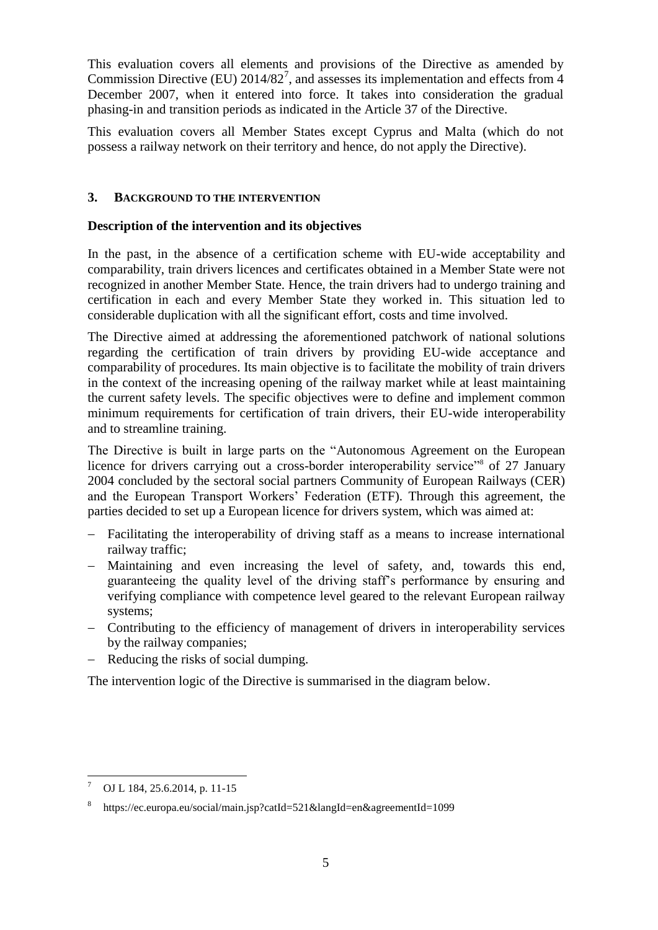This evaluation covers all elements and provisions of the Directive as amended by Commission Directive (EU)  $2014/82^7$ , and assesses its implementation and effects from 4 December 2007, when it entered into force. It takes into consideration the gradual phasing-in and transition periods as indicated in the Article 37 of the Directive.

This evaluation covers all Member States except Cyprus and Malta (which do not possess a railway network on their territory and hence, do not apply the Directive).

## <span id="page-5-0"></span>**3. BACKGROUND TO THE INTERVENTION**

## **Description of the intervention and its objectives**

In the past, in the absence of a certification scheme with EU-wide acceptability and comparability, train drivers licences and certificates obtained in a Member State were not recognized in another Member State. Hence, the train drivers had to undergo training and certification in each and every Member State they worked in. This situation led to considerable duplication with all the significant effort, costs and time involved.

The Directive aimed at addressing the aforementioned patchwork of national solutions regarding the certification of train drivers by providing EU-wide acceptance and comparability of procedures. Its main objective is to facilitate the mobility of train drivers in the context of the increasing opening of the railway market while at least maintaining the current safety levels. The specific objectives were to define and implement common minimum requirements for certification of train drivers, their EU-wide interoperability and to streamline training.

The Directive is built in large parts on the "Autonomous Agreement on the European licence for drivers carrying out a cross-border interoperability service"<sup>8</sup> of 27 January 2004 concluded by the sectoral social partners Community of European Railways (CER) and the European Transport Workers' Federation (ETF). Through this agreement, the parties decided to set up a European licence for drivers system, which was aimed at:

- Facilitating the interoperability of driving staff as a means to increase international railway traffic;
- Maintaining and even increasing the level of safety, and, towards this end, guaranteeing the quality level of the driving staff's performance by ensuring and verifying compliance with competence level geared to the relevant European railway systems;
- Contributing to the efficiency of management of drivers in interoperability services by the railway companies;
- Reducing the risks of social dumping.

The intervention logic of the Directive is summarised in the diagram below.

 $\overline{a}$ OJ L 184, 25.6.2014, p. 11-15

<sup>8</sup> https://ec.europa.eu/social/main.jsp?catId=521&langId=en&agreementId=1099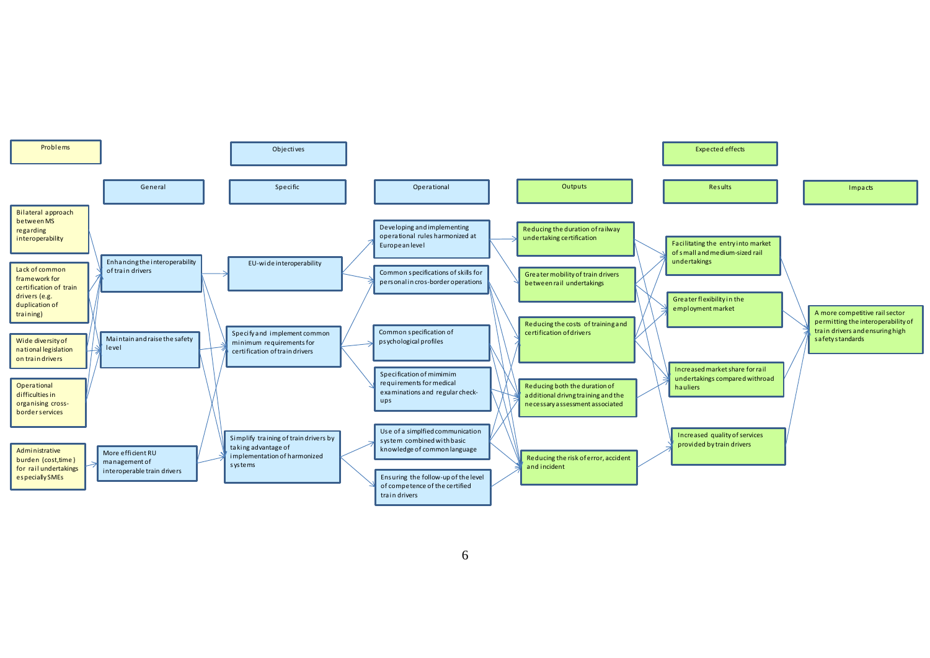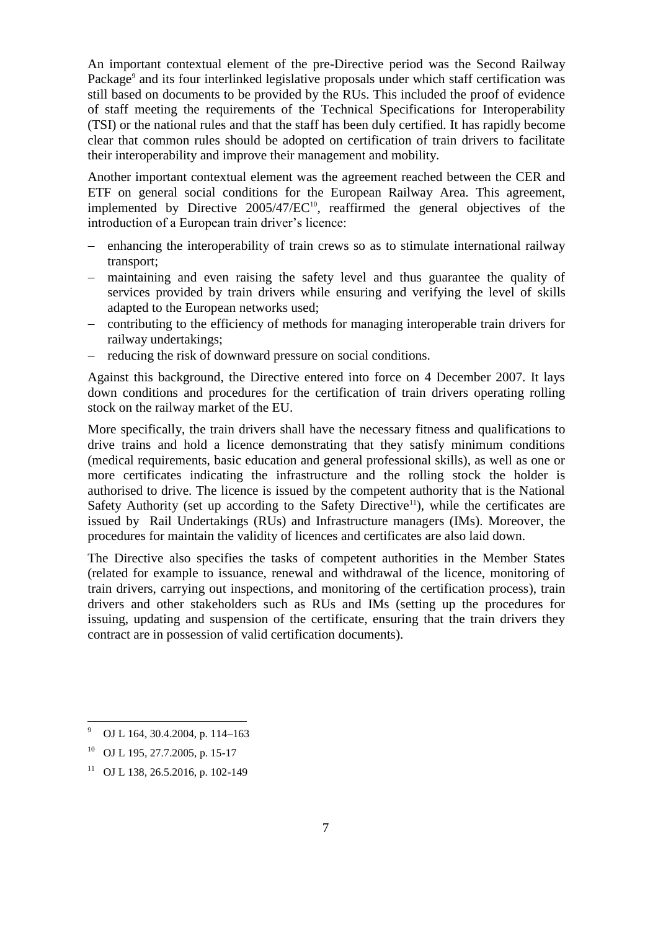An important contextual element of the pre-Directive period was the Second Railway Package<sup>9</sup> and its four interlinked legislative proposals under which staff certification was still based on documents to be provided by the RUs. This included the proof of evidence of staff meeting the requirements of the Technical Specifications for Interoperability (TSI) or the national rules and that the staff has been duly certified. It has rapidly become clear that common rules should be adopted on certification of train drivers to facilitate their interoperability and improve their management and mobility.

Another important contextual element was the agreement reached between the CER and ETF on general social conditions for the European Railway Area. This agreement, implemented by Directive  $2005/47/EC^{10}$ , reaffirmed the general objectives of the introduction of a European train driver's licence:

- enhancing the interoperability of train crews so as to stimulate international railway transport;
- maintaining and even raising the safety level and thus guarantee the quality of services provided by train drivers while ensuring and verifying the level of skills adapted to the European networks used;
- contributing to the efficiency of methods for managing interoperable train drivers for railway undertakings;
- reducing the risk of downward pressure on social conditions.

Against this background, the Directive entered into force on 4 December 2007. It lays down conditions and procedures for the certification of train drivers operating rolling stock on the railway market of the EU.

More specifically, the train drivers shall have the necessary fitness and qualifications to drive trains and hold a licence demonstrating that they satisfy minimum conditions (medical requirements, basic education and general professional skills), as well as one or more certificates indicating the infrastructure and the rolling stock the holder is authorised to drive. The licence is issued by the competent authority that is the National Safety Authority (set up according to the Safety Directive<sup>11</sup>), while the certificates are issued by Rail Undertakings (RUs) and Infrastructure managers (IMs). Moreover, the procedures for maintain the validity of licences and certificates are also laid down.

The Directive also specifies the tasks of competent authorities in the Member States (related for example to issuance, renewal and withdrawal of the licence, monitoring of train drivers, carrying out inspections, and monitoring of the certification process), train drivers and other stakeholders such as RUs and IMs (setting up the procedures for issuing, updating and suspension of the certificate, ensuring that the train drivers they contract are in possession of valid certification documents).

 $\ddot{\phantom{a}}$ 

<sup>9</sup> OJ L 164, 30.4.2004, p. 114–163

<sup>10</sup> OJ L 195, 27.7.2005, p. 15-17

<sup>&</sup>lt;sup>11</sup> OJ L 138, 26.5.2016, p. 102-149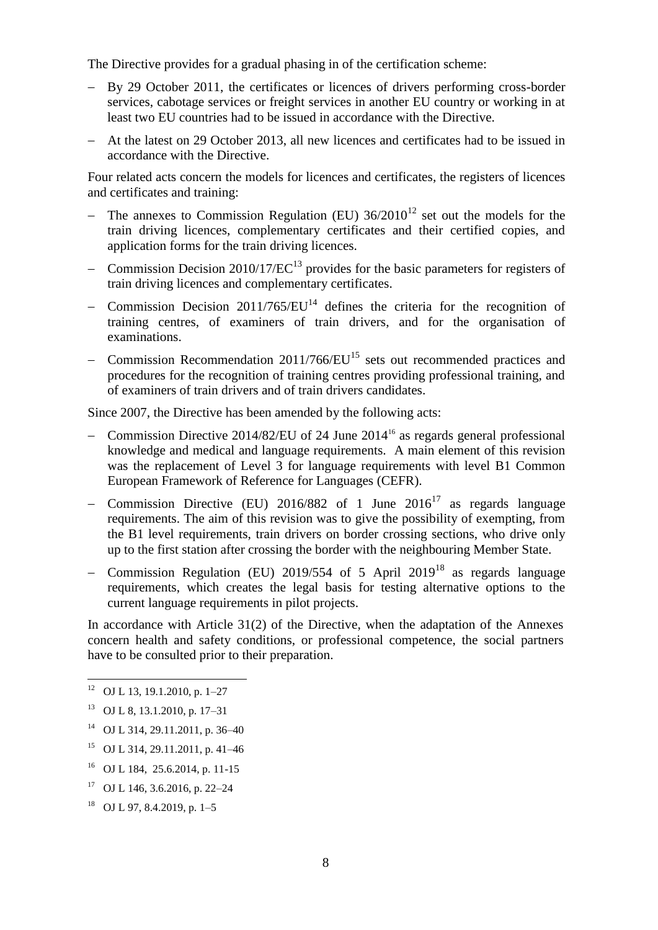The Directive provides for a gradual phasing in of the certification scheme:

- By 29 October 2011, the certificates or licences of drivers performing cross-border services, cabotage services or freight services in another EU country or working in at least two EU countries had to be issued in accordance with the Directive.
- At the latest on 29 October 2013, all new licences and certificates had to be issued in accordance with the Directive.

Four related acts concern the models for licences and certificates, the registers of licences and certificates and training:

- The annexes to Commission Regulation (EU)  $36/2010^{12}$  set out the models for the train driving licences, complementary certificates and their certified copies, and application forms for the train driving licences.
- Commission Decision 2010/17/EC<sup>13</sup> provides for the basic parameters for registers of train driving licences and complementary certificates.
- Commission Decision  $2011/765/EU<sup>14</sup>$  defines the criteria for the recognition of training centres, of examiners of train drivers, and for the organisation of examinations.
- Commission Recommendation  $2011/766/EU^{15}$  sets out recommended practices and procedures for the recognition of training centres providing professional training, and of examiners of train drivers and of train drivers candidates.

Since 2007, the Directive has been amended by the following acts:

- Commission Directive 2014/82/EU of 24 June 2014<sup>16</sup> as regards general professional knowledge and medical and language requirements. A main element of this revision was the replacement of Level 3 for language requirements with level B1 Common European Framework of Reference for Languages (CEFR).
- Commission Directive (EU) 2016/882 of 1 June  $2016^{17}$  as regards language requirements. The aim of this revision was to give the possibility of exempting, from the B1 level requirements, train drivers on border crossing sections, who drive only up to the first station after crossing the border with the neighbouring Member State.
- Commission Regulation (EU) 2019/554 of 5 April 2019<sup>18</sup> as regards language requirements, which creates the legal basis for testing alternative options to the current language requirements in pilot projects.

In accordance with Article 31(2) of the Directive, when the adaptation of the Annexes concern health and safety conditions, or professional competence, the social partners have to be consulted prior to their preparation.

 $\overline{a}$ 

- <sup>15</sup> OJ L 314, 29.11.2011, p. 41–46
- <sup>16</sup> OJ L 184, 25.6.2014, p. 11-15
- <sup>17</sup> OJ L 146, 3, 6, 2016, p. 22–24
- <sup>18</sup> OJ L 97, 8.4.2019, p. 1–5

OJ L 13, 19.1.2010, p. 1–27

<sup>13</sup> OJ L 8, 13.1.2010, p. 17–31

<sup>14</sup> OJ L 314, 29.11.2011, p. 36–40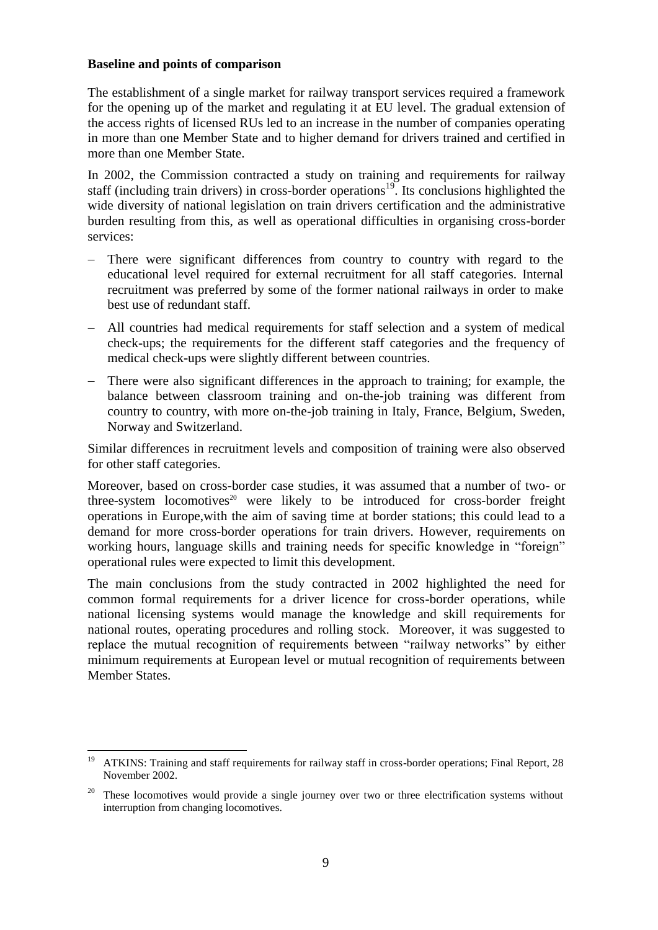## **Baseline and points of comparison**

The establishment of a single market for railway transport services required a framework for the opening up of the market and regulating it at EU level. The gradual extension of the access rights of licensed RUs led to an increase in the number of companies operating in more than one Member State and to higher demand for drivers trained and certified in more than one Member State.

In 2002, the Commission contracted a study on training and requirements for railway staff (including train drivers) in cross-border operations<sup>19</sup>. Its conclusions highlighted the wide diversity of national legislation on train drivers certification and the administrative burden resulting from this, as well as operational difficulties in organising cross-border services:

- There were significant differences from country to country with regard to the educational level required for external recruitment for all staff categories. Internal recruitment was preferred by some of the former national railways in order to make best use of redundant staff.
- All countries had medical requirements for staff selection and a system of medical check-ups; the requirements for the different staff categories and the frequency of medical check-ups were slightly different between countries.
- There were also significant differences in the approach to training; for example, the balance between classroom training and on-the-job training was different from country to country, with more on-the-job training in Italy, France, Belgium, Sweden, Norway and Switzerland.

Similar differences in recruitment levels and composition of training were also observed for other staff categories.

Moreover, based on cross-border case studies, it was assumed that a number of two- or three-system locomotives<sup>20</sup> were likely to be introduced for cross-border freight operations in Europe,with the aim of saving time at border stations; this could lead to a demand for more cross-border operations for train drivers. However, requirements on working hours, language skills and training needs for specific knowledge in "foreign" operational rules were expected to limit this development.

The main conclusions from the study contracted in 2002 highlighted the need for common formal requirements for a driver licence for cross-border operations, while national licensing systems would manage the knowledge and skill requirements for national routes, operating procedures and rolling stock. Moreover, it was suggested to replace the mutual recognition of requirements between "railway networks" by either minimum requirements at European level or mutual recognition of requirements between Member States.

 $\ddot{\phantom{a}}$ <sup>19</sup> ATKINS: Training and staff requirements for railway staff in cross-border operations; Final Report, 28 November 2002.

<sup>20</sup> These locomotives would provide a single journey over two or three electrification systems without interruption from changing locomotives.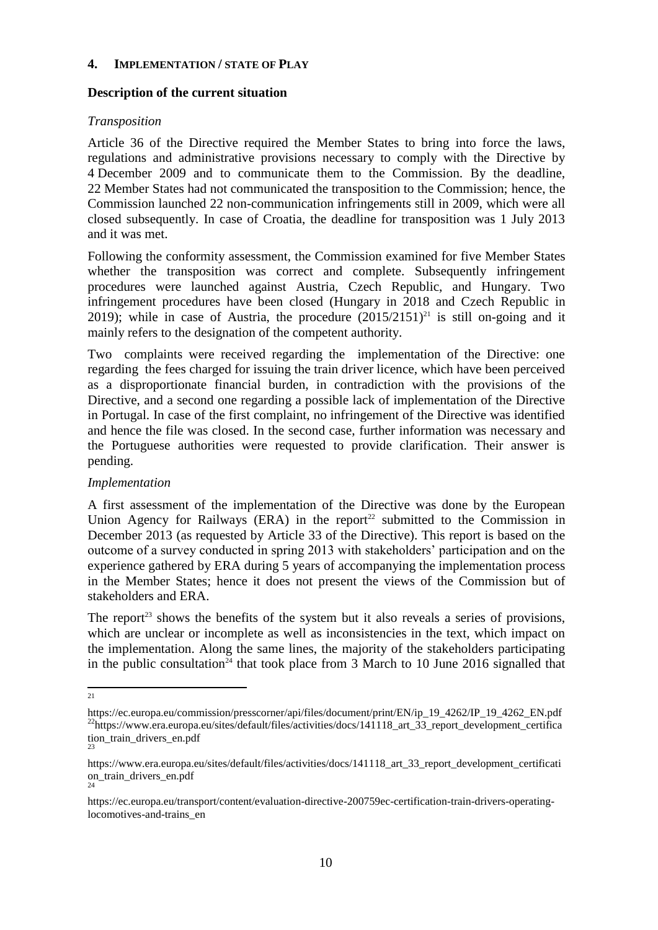## <span id="page-10-0"></span>**4. IMPLEMENTATION / STATE OF PLAY**

## **Description of the current situation**

# *Transposition*

Article 36 of the Directive required the Member States to bring into force the laws, regulations and administrative provisions necessary to comply with the Directive by 4 December 2009 and to communicate them to the Commission. By the deadline, 22 Member States had not communicated the transposition to the Commission; hence, the Commission launched 22 non-communication infringements still in 2009, which were all closed subsequently. In case of Croatia, the deadline for transposition was 1 July 2013 and it was met.

Following the conformity assessment, the Commission examined for five Member States whether the transposition was correct and complete. Subsequently infringement procedures were launched against Austria, Czech Republic, and Hungary. Two infringement procedures have been closed (Hungary in 2018 and Czech Republic in 2019); while in case of Austria, the procedure  $(2015/2151)^{21}$  is still on-going and it mainly refers to the designation of the competent authority.

Two complaints were received regarding the implementation of the Directive: one regarding the fees charged for issuing the train driver licence, which have been perceived as a disproportionate financial burden, in contradiction with the provisions of the Directive, and a second one regarding a possible lack of implementation of the Directive in Portugal. In case of the first complaint, no infringement of the Directive was identified and hence the file was closed. In the second case, further information was necessary and the Portuguese authorities were requested to provide clarification. Their answer is pending.

## *Implementation*

A first assessment of the implementation of the Directive was done by the European Union Agency for Railways (ERA) in the report<sup>22</sup> submitted to the Commission in December 2013 (as requested by Article 33 of the Directive). This report is based on the outcome of a survey conducted in spring 2013 with stakeholders' participation and on the experience gathered by ERA during 5 years of accompanying the implementation process in the Member States; hence it does not present the views of the Commission but of stakeholders and ERA.

The report<sup>23</sup> shows the benefits of the system but it also reveals a series of provisions, which are unclear or incomplete as well as inconsistencies in the text, which impact on the implementation. Along the same lines, the majority of the stakeholders participating in the public consultation<sup>24</sup> that took place from 3 March to 10 June 2016 signalled that

<sup>21</sup> 

https://ec.europa.eu/commission/presscorner/api/files/document/print/EN/ip\_19\_4262/IP\_19\_4262\_EN.pdf <sup>22</sup>https://www.era.europa.eu/sites/default/files/activities/docs/141118\_art\_33\_report\_development\_certifica tion\_train\_drivers\_en.pdf 23

https://www.era.europa.eu/sites/default/files/activities/docs/141118\_art\_33\_report\_development\_certificati on\_train\_drivers\_en.pdf 24

https://ec.europa.eu/transport/content/evaluation-directive-200759ec-certification-train-drivers-operatinglocomotives-and-trains\_en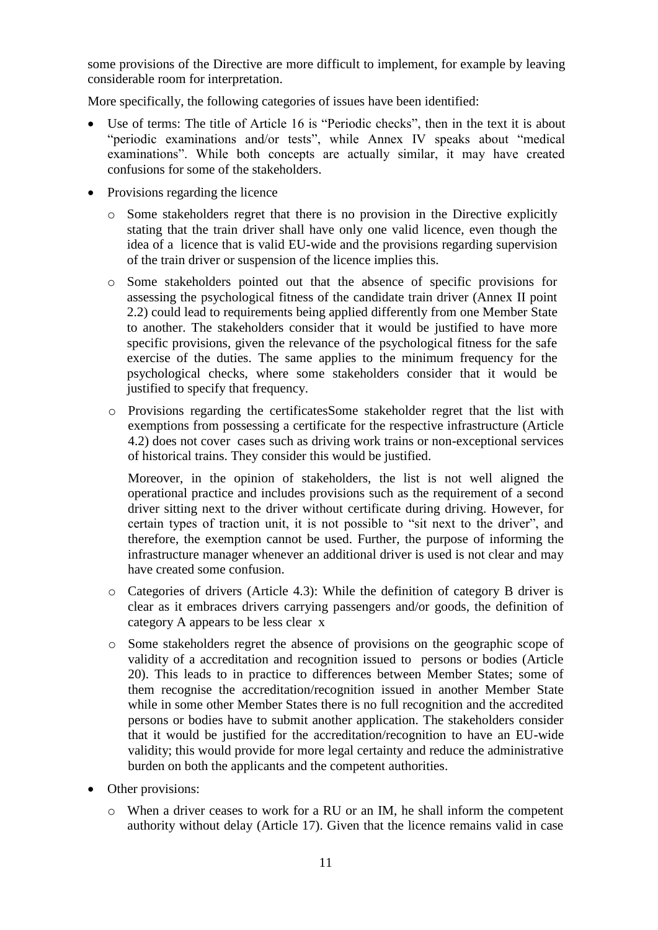some provisions of the Directive are more difficult to implement, for example by leaving considerable room for interpretation.

More specifically, the following categories of issues have been identified:

- Use of terms: The title of Article 16 is "Periodic checks", then in the text it is about "periodic examinations and/or tests", while Annex IV speaks about "medical examinations". While both concepts are actually similar, it may have created confusions for some of the stakeholders.
- Provisions regarding the licence
	- o Some stakeholders regret that there is no provision in the Directive explicitly stating that the train driver shall have only one valid licence, even though the idea of a licence that is valid EU-wide and the provisions regarding supervision of the train driver or suspension of the licence implies this.
	- o Some stakeholders pointed out that the absence of specific provisions for assessing the psychological fitness of the candidate train driver (Annex II point 2.2) could lead to requirements being applied differently from one Member State to another. The stakeholders consider that it would be justified to have more specific provisions, given the relevance of the psychological fitness for the safe exercise of the duties. The same applies to the minimum frequency for the psychological checks, where some stakeholders consider that it would be justified to specify that frequency.
	- o Provisions regarding the certificatesSome stakeholder regret that the list with exemptions from possessing a certificate for the respective infrastructure (Article 4.2) does not cover cases such as driving work trains or non-exceptional services of historical trains. They consider this would be justified.

Moreover, in the opinion of stakeholders, the list is not well aligned the operational practice and includes provisions such as the requirement of a second driver sitting next to the driver without certificate during driving. However, for certain types of traction unit, it is not possible to "sit next to the driver", and therefore, the exemption cannot be used. Further, the purpose of informing the infrastructure manager whenever an additional driver is used is not clear and may have created some confusion.

- o Categories of drivers (Article 4.3): While the definition of category B driver is clear as it embraces drivers carrying passengers and/or goods, the definition of category A appears to be less clear x
- o Some stakeholders regret the absence of provisions on the geographic scope of validity of a accreditation and recognition issued to persons or bodies (Article 20). This leads to in practice to differences between Member States; some of them recognise the accreditation/recognition issued in another Member State while in some other Member States there is no full recognition and the accredited persons or bodies have to submit another application. The stakeholders consider that it would be justified for the accreditation/recognition to have an EU-wide validity; this would provide for more legal certainty and reduce the administrative burden on both the applicants and the competent authorities.
- Other provisions:
	- o When a driver ceases to work for a RU or an IM, he shall inform the competent authority without delay (Article 17). Given that the licence remains valid in case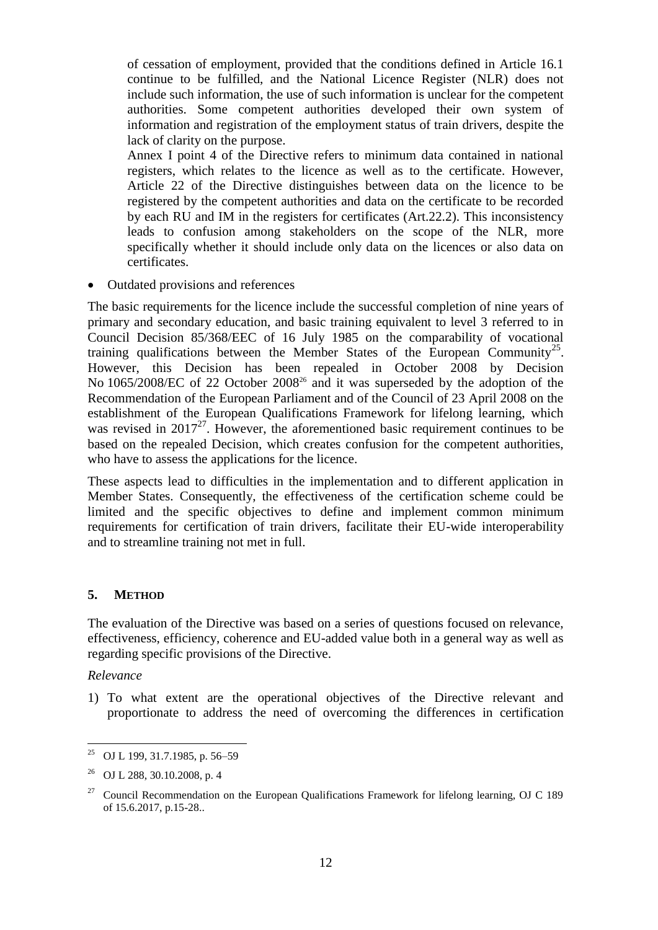of cessation of employment, provided that the conditions defined in Article 16.1 continue to be fulfilled, and the National Licence Register (NLR) does not include such information, the use of such information is unclear for the competent authorities. Some competent authorities developed their own system of information and registration of the employment status of train drivers, despite the lack of clarity on the purpose.

Annex I point 4 of the Directive refers to minimum data contained in national registers, which relates to the licence as well as to the certificate. However, Article 22 of the Directive distinguishes between data on the licence to be registered by the competent authorities and data on the certificate to be recorded by each RU and IM in the registers for certificates (Art.22.2). This inconsistency leads to confusion among stakeholders on the scope of the NLR, more specifically whether it should include only data on the licences or also data on certificates.

• Outdated provisions and references

The basic requirements for the licence include the successful completion of nine years of primary and secondary education, and basic training equivalent to level 3 referred to in Council Decision 85/368/EEC of 16 July 1985 on the comparability of vocational training qualifications between the Member States of the European Community<sup>25</sup>. However, this Decision has been repealed in October 2008 by Decision No 1065/2008/EC of 22 October 2008<sup>26</sup> and it was superseded by the adoption of the Recommendation of the European Parliament and of the Council of 23 April 2008 on the establishment of the European Qualifications Framework for lifelong learning, which was revised in  $2017^{27}$ . However, the aforementioned basic requirement continues to be based on the repealed Decision, which creates confusion for the competent authorities, who have to assess the applications for the licence.

These aspects lead to difficulties in the implementation and to different application in Member States. Consequently, the effectiveness of the certification scheme could be limited and the specific objectives to define and implement common minimum requirements for certification of train drivers, facilitate their EU-wide interoperability and to streamline training not met in full.

# <span id="page-12-0"></span>**5. METHOD**

The evaluation of the Directive was based on a series of questions focused on relevance, effectiveness, efficiency, coherence and EU-added value both in a general way as well as regarding specific provisions of the Directive.

*Relevance*

 $\ddot{\phantom{a}}$ 

1) To what extent are the operational objectives of the Directive relevant and proportionate to address the need of overcoming the differences in certification

<sup>&</sup>lt;sup>25</sup> OJ L 199, 31.7.1985, p. 56–59

<sup>26</sup> OJ L 288, 30.10.2008, p. 4

<sup>&</sup>lt;sup>27</sup> Council Recommendation on the European Qualifications Framework for lifelong learning, OJ C 189 of 15.6.2017, p.15-28..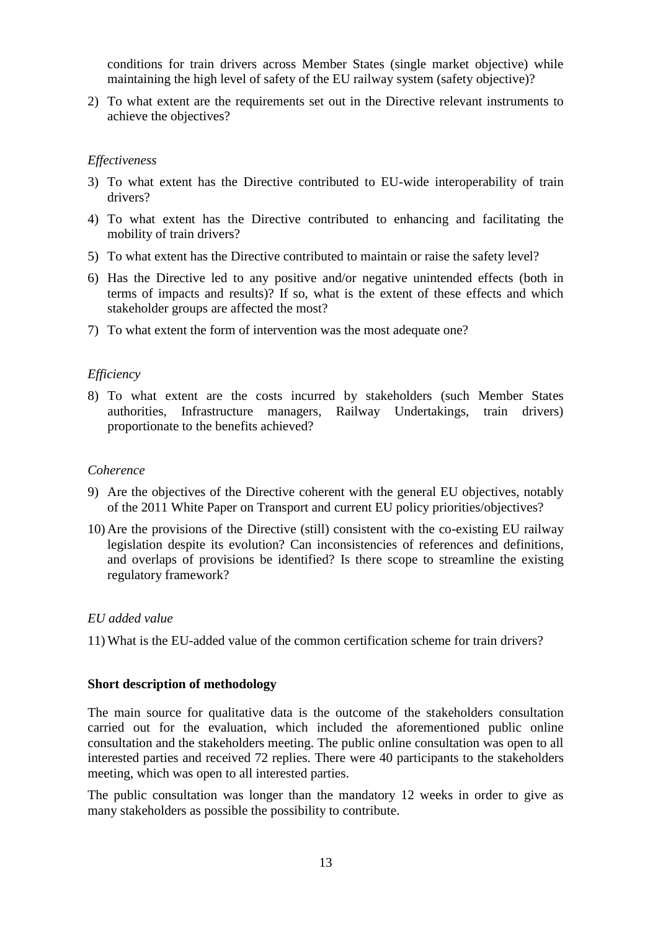conditions for train drivers across Member States (single market objective) while maintaining the high level of safety of the EU railway system (safety objective)?

2) To what extent are the requirements set out in the Directive relevant instruments to achieve the objectives?

## *Effectiveness*

- 3) To what extent has the Directive contributed to EU-wide interoperability of train drivers?
- 4) To what extent has the Directive contributed to enhancing and facilitating the mobility of train drivers?
- 5) To what extent has the Directive contributed to maintain or raise the safety level?
- 6) Has the Directive led to any positive and/or negative unintended effects (both in terms of impacts and results)? If so, what is the extent of these effects and which stakeholder groups are affected the most?
- 7) To what extent the form of intervention was the most adequate one?

## *Efficiency*

8) To what extent are the costs incurred by stakeholders (such Member States authorities, Infrastructure managers, Railway Undertakings, train drivers) proportionate to the benefits achieved?

#### *Coherence*

- 9) Are the objectives of the Directive coherent with the general EU objectives, notably of the 2011 White Paper on Transport and current EU policy priorities/objectives?
- 10) Are the provisions of the Directive (still) consistent with the co-existing EU railway legislation despite its evolution? Can inconsistencies of references and definitions, and overlaps of provisions be identified? Is there scope to streamline the existing regulatory framework?

#### *EU added value*

11) What is the EU-added value of the common certification scheme for train drivers?

#### **Short description of methodology**

The main source for qualitative data is the outcome of the stakeholders consultation carried out for the evaluation, which included the aforementioned public online consultation and the stakeholders meeting. The public online consultation was open to all interested parties and received 72 replies. There were 40 participants to the stakeholders meeting, which was open to all interested parties.

The public consultation was longer than the mandatory 12 weeks in order to give as many stakeholders as possible the possibility to contribute.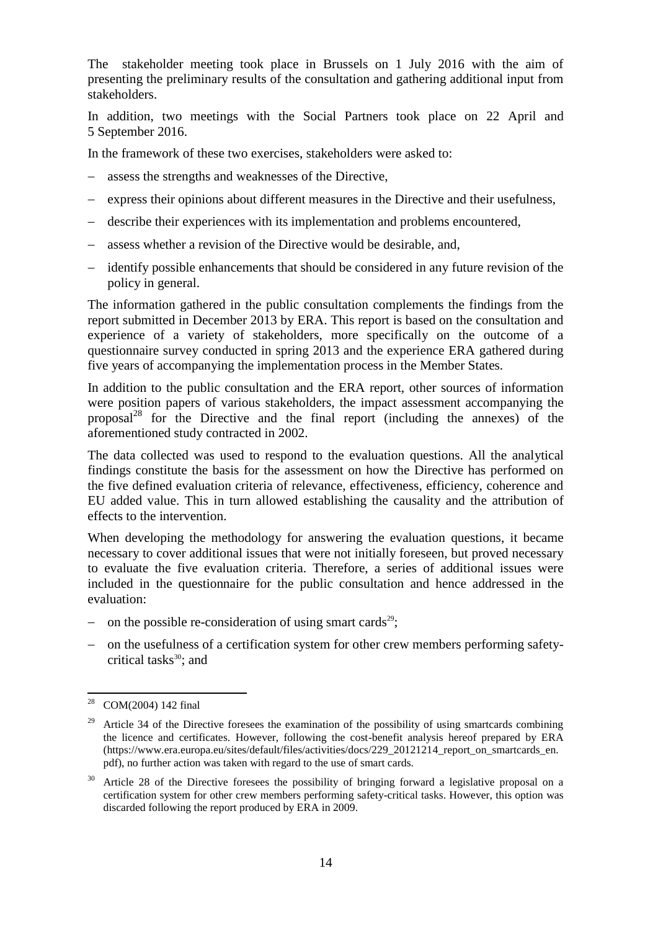The stakeholder meeting took place in Brussels on 1 July 2016 with the aim of presenting the preliminary results of the consultation and gathering additional input from stakeholders.

In addition, two meetings with the Social Partners took place on 22 April and 5 September 2016.

In the framework of these two exercises, stakeholders were asked to:

- assess the strengths and weaknesses of the Directive,
- express their opinions about different measures in the Directive and their usefulness,
- describe their experiences with its implementation and problems encountered,
- assess whether a revision of the Directive would be desirable, and,
- identify possible enhancements that should be considered in any future revision of the policy in general.

The information gathered in the public consultation complements the findings from the report submitted in December 2013 by ERA. This report is based on the consultation and experience of a variety of stakeholders, more specifically on the outcome of a questionnaire survey conducted in spring 2013 and the experience ERA gathered during five years of accompanying the implementation process in the Member States.

In addition to the public consultation and the ERA report, other sources of information were position papers of various stakeholders, the impact assessment accompanying the proposal<sup>28</sup> for the Directive and the final report (including the annexes) of the aforementioned study contracted in 2002.

The data collected was used to respond to the evaluation questions. All the analytical findings constitute the basis for the assessment on how the Directive has performed on the five defined evaluation criteria of relevance, effectiveness, efficiency, coherence and EU added value. This in turn allowed establishing the causality and the attribution of effects to the intervention.

When developing the methodology for answering the evaluation questions, it became necessary to cover additional issues that were not initially foreseen, but proved necessary to evaluate the five evaluation criteria. Therefore, a series of additional issues were included in the questionnaire for the public consultation and hence addressed in the evaluation:

- on the possible re-consideration of using smart cards<sup>29</sup>;
- on the usefulness of a certification system for other crew members performing safetycritical tasks $30$ ; and

<sup>28</sup> COM(2004) 142 final

<sup>&</sup>lt;sup>29</sup> Article 34 of the Directive foresees the examination of the possibility of using smartcards combining the licence and certificates. However, following the cost-benefit analysis hereof prepared by ERA (https://www.era.europa.eu/sites/default/files/activities/docs/229\_20121214\_report\_on\_smartcards\_en. pdf), no further action was taken with regard to the use of smart cards.

 $30$  Article 28 of the Directive foresees the possibility of bringing forward a legislative proposal on a certification system for other crew members performing safety-critical tasks. However, this option was discarded following the report produced by ERA in 2009.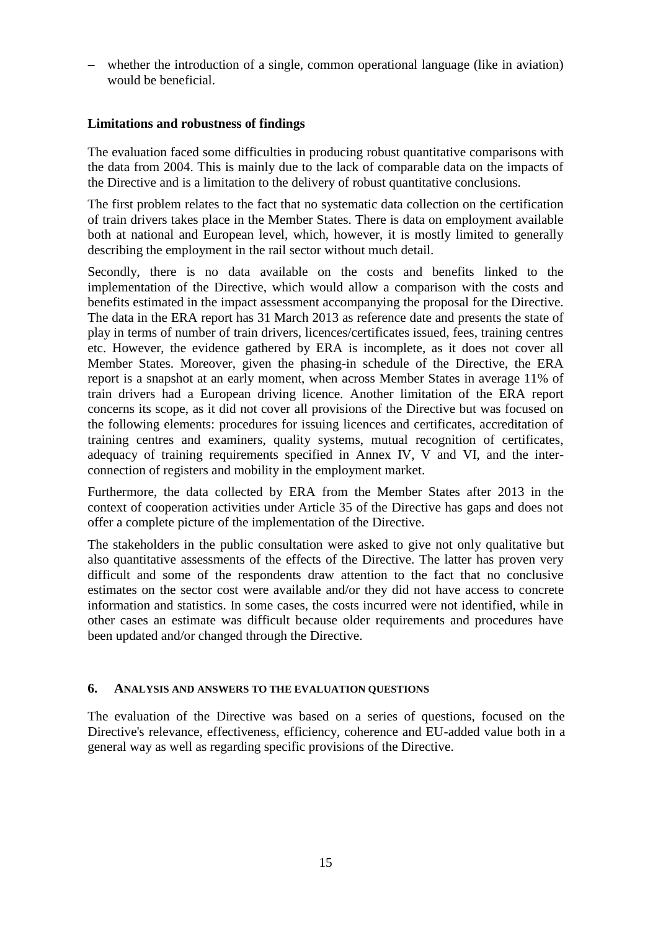whether the introduction of a single, common operational language (like in aviation) would be beneficial.

# **Limitations and robustness of findings**

The evaluation faced some difficulties in producing robust quantitative comparisons with the data from 2004. This is mainly due to the lack of comparable data on the impacts of the Directive and is a limitation to the delivery of robust quantitative conclusions.

The first problem relates to the fact that no systematic data collection on the certification of train drivers takes place in the Member States. There is data on employment available both at national and European level, which, however, it is mostly limited to generally describing the employment in the rail sector without much detail.

Secondly, there is no data available on the costs and benefits linked to the implementation of the Directive, which would allow a comparison with the costs and benefits estimated in the impact assessment accompanying the proposal for the Directive. The data in the ERA report has 31 March 2013 as reference date and presents the state of play in terms of number of train drivers, licences/certificates issued, fees, training centres etc. However, the evidence gathered by ERA is incomplete, as it does not cover all Member States. Moreover, given the phasing-in schedule of the Directive, the ERA report is a snapshot at an early moment, when across Member States in average 11% of train drivers had a European driving licence. Another limitation of the ERA report concerns its scope, as it did not cover all provisions of the Directive but was focused on the following elements: procedures for issuing licences and certificates, accreditation of training centres and examiners, quality systems, mutual recognition of certificates, adequacy of training requirements specified in Annex IV, V and VI, and the interconnection of registers and mobility in the employment market.

Furthermore, the data collected by ERA from the Member States after 2013 in the context of cooperation activities under Article 35 of the Directive has gaps and does not offer a complete picture of the implementation of the Directive.

The stakeholders in the public consultation were asked to give not only qualitative but also quantitative assessments of the effects of the Directive. The latter has proven very difficult and some of the respondents draw attention to the fact that no conclusive estimates on the sector cost were available and/or they did not have access to concrete information and statistics. In some cases, the costs incurred were not identified, while in other cases an estimate was difficult because older requirements and procedures have been updated and/or changed through the Directive.

## <span id="page-15-0"></span>**6. ANALYSIS AND ANSWERS TO THE EVALUATION QUESTIONS**

The evaluation of the Directive was based on a series of questions, focused on the Directive's relevance, effectiveness, efficiency, coherence and EU-added value both in a general way as well as regarding specific provisions of the Directive.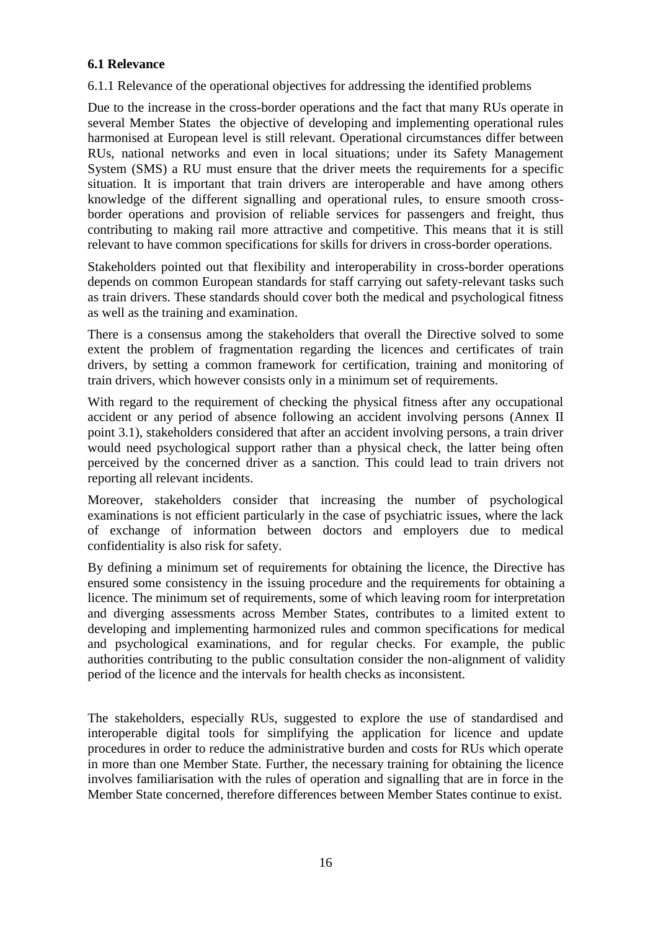# **6.1 Relevance**

6.1.1 Relevance of the operational objectives for addressing the identified problems

Due to the increase in the cross-border operations and the fact that many RUs operate in several Member States the objective of developing and implementing operational rules harmonised at European level is still relevant. Operational circumstances differ between RUs, national networks and even in local situations; under its Safety Management System (SMS) a RU must ensure that the driver meets the requirements for a specific situation. It is important that train drivers are interoperable and have among others knowledge of the different signalling and operational rules, to ensure smooth crossborder operations and provision of reliable services for passengers and freight, thus contributing to making rail more attractive and competitive. This means that it is still relevant to have common specifications for skills for drivers in cross-border operations.

Stakeholders pointed out that flexibility and interoperability in cross-border operations depends on common European standards for staff carrying out safety-relevant tasks such as train drivers. These standards should cover both the medical and psychological fitness as well as the training and examination.

There is a consensus among the stakeholders that overall the Directive solved to some extent the problem of fragmentation regarding the licences and certificates of train drivers, by setting a common framework for certification, training and monitoring of train drivers, which however consists only in a minimum set of requirements.

With regard to the requirement of checking the physical fitness after any occupational accident or any period of absence following an accident involving persons (Annex II point 3.1), stakeholders considered that after an accident involving persons, a train driver would need psychological support rather than a physical check, the latter being often perceived by the concerned driver as a sanction. This could lead to train drivers not reporting all relevant incidents.

Moreover, stakeholders consider that increasing the number of psychological examinations is not efficient particularly in the case of psychiatric issues, where the lack of exchange of information between doctors and employers due to medical confidentiality is also risk for safety.

By defining a minimum set of requirements for obtaining the licence, the Directive has ensured some consistency in the issuing procedure and the requirements for obtaining a licence. The minimum set of requirements, some of which leaving room for interpretation and diverging assessments across Member States, contributes to a limited extent to developing and implementing harmonized rules and common specifications for medical and psychological examinations, and for regular checks. For example, the public authorities contributing to the public consultation consider the non-alignment of validity period of the licence and the intervals for health checks as inconsistent.

The stakeholders, especially RUs, suggested to explore the use of standardised and interoperable digital tools for simplifying the application for licence and update procedures in order to reduce the administrative burden and costs for RUs which operate in more than one Member State. Further, the necessary training for obtaining the licence involves familiarisation with the rules of operation and signalling that are in force in the Member State concerned, therefore differences between Member States continue to exist.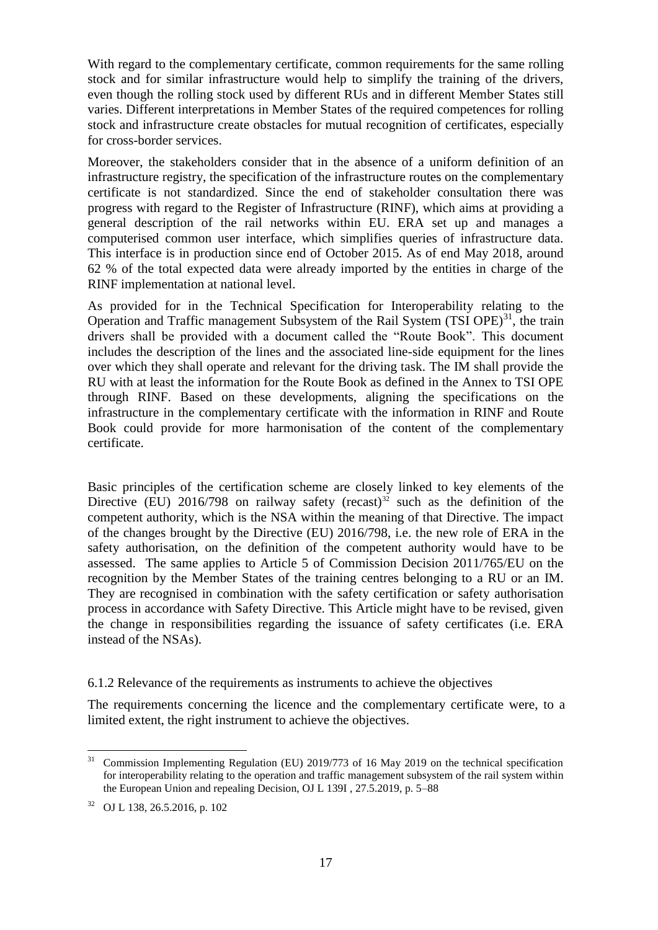With regard to the complementary certificate, common requirements for the same rolling stock and for similar infrastructure would help to simplify the training of the drivers, even though the rolling stock used by different RUs and in different Member States still varies. Different interpretations in Member States of the required competences for rolling stock and infrastructure create obstacles for mutual recognition of certificates, especially for cross-border services.

Moreover, the stakeholders consider that in the absence of a uniform definition of an infrastructure registry, the specification of the infrastructure routes on the complementary certificate is not standardized. Since the end of stakeholder consultation there was progress with regard to the Register of Infrastructure (RINF), which aims at providing a general description of the rail networks within EU. ERA set up and manages a computerised common user interface, which simplifies queries of infrastructure data. This interface is in production since end of October 2015. As of end May 2018, around 62 % of the total expected data were already imported by the entities in charge of the RINF implementation at national level.

As provided for in the Technical Specification for Interoperability relating to the Operation and Traffic management Subsystem of the Rail System (TSI OPE)<sup>31</sup>, the train drivers shall be provided with a document called the "Route Book". This document includes the description of the lines and the associated line-side equipment for the lines over which they shall operate and relevant for the driving task. The IM shall provide the RU with at least the information for the Route Book as defined in the Annex to TSI OPE through RINF. Based on these developments, aligning the specifications on the infrastructure in the complementary certificate with the information in RINF and Route Book could provide for more harmonisation of the content of the complementary certificate.

Basic principles of the certification scheme are closely linked to key elements of the Directive (EU) 2016/798 on railway safety (recast)<sup>32</sup> such as the definition of the competent authority, which is the NSA within the meaning of that Directive. The impact of the changes brought by the Directive (EU) 2016/798, i.e. the new role of ERA in the safety authorisation, on the definition of the competent authority would have to be assessed. The same applies to Article 5 of Commission Decision 2011/765/EU on the recognition by the Member States of the training centres belonging to a RU or an IM. They are recognised in combination with the safety certification or safety authorisation process in accordance with Safety Directive. This Article might have to be revised, given the change in responsibilities regarding the issuance of safety certificates (i.e. ERA instead of the NSAs).

6.1.2 Relevance of the requirements as instruments to achieve the objectives

The requirements concerning the licence and the complementary certificate were, to a limited extent, the right instrument to achieve the objectives.

 $\ddot{\phantom{a}}$ 

 $31$  Commission Implementing Regulation (EU) 2019/773 of 16 May 2019 on the technical specification for interoperability relating to the operation and traffic management subsystem of the rail system within the European Union and repealing Decision, OJ L 139I , 27.5.2019, p. 5–88

<sup>32</sup> OJ L 138, 26.5.2016, p. 102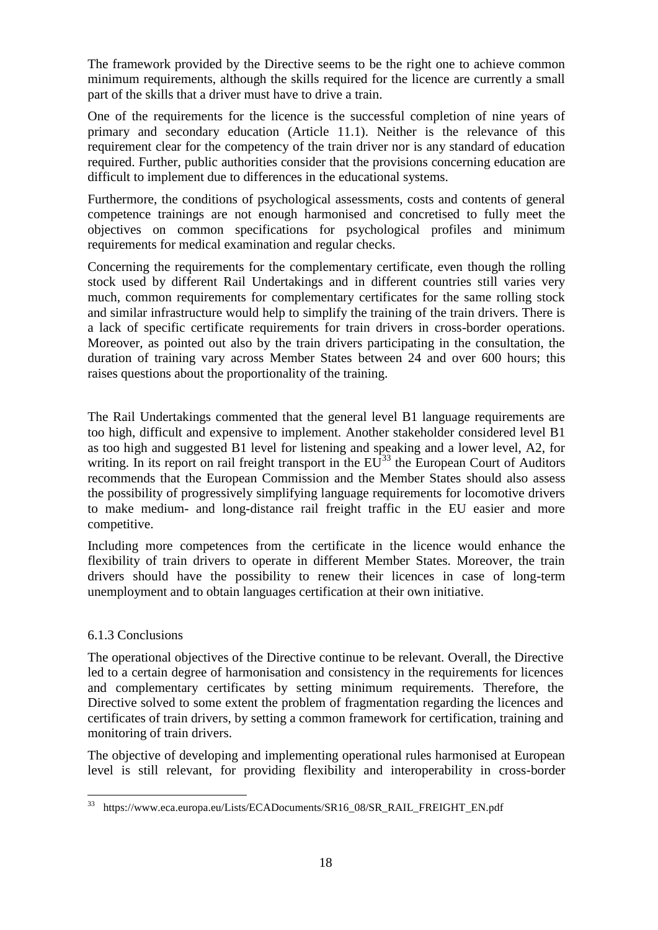The framework provided by the Directive seems to be the right one to achieve common minimum requirements, although the skills required for the licence are currently a small part of the skills that a driver must have to drive a train.

One of the requirements for the licence is the successful completion of nine years of primary and secondary education (Article 11.1). Neither is the relevance of this requirement clear for the competency of the train driver nor is any standard of education required. Further, public authorities consider that the provisions concerning education are difficult to implement due to differences in the educational systems.

Furthermore, the conditions of psychological assessments, costs and contents of general competence trainings are not enough harmonised and concretised to fully meet the objectives on common specifications for psychological profiles and minimum requirements for medical examination and regular checks.

Concerning the requirements for the complementary certificate, even though the rolling stock used by different Rail Undertakings and in different countries still varies very much, common requirements for complementary certificates for the same rolling stock and similar infrastructure would help to simplify the training of the train drivers. There is a lack of specific certificate requirements for train drivers in cross-border operations. Moreover, as pointed out also by the train drivers participating in the consultation, the duration of training vary across Member States between 24 and over 600 hours; this raises questions about the proportionality of the training.

The Rail Undertakings commented that the general level B1 language requirements are too high, difficult and expensive to implement. Another stakeholder considered level B1 as too high and suggested B1 level for listening and speaking and a lower level, A2, for writing. In its report on rail freight transport in the  $EU^{33}$  the European Court of Auditors recommends that the European Commission and the Member States should also assess the possibility of progressively simplifying language requirements for locomotive drivers to make medium- and long-distance rail freight traffic in the EU easier and more competitive.

Including more competences from the certificate in the licence would enhance the flexibility of train drivers to operate in different Member States. Moreover, the train drivers should have the possibility to renew their licences in case of long-term unemployment and to obtain languages certification at their own initiative.

## 6.1.3 Conclusions

The operational objectives of the Directive continue to be relevant. Overall, the Directive led to a certain degree of harmonisation and consistency in the requirements for licences and complementary certificates by setting minimum requirements. Therefore, the Directive solved to some extent the problem of fragmentation regarding the licences and certificates of train drivers, by setting a common framework for certification, training and monitoring of train drivers.

The objective of developing and implementing operational rules harmonised at European level is still relevant, for providing flexibility and interoperability in cross-border

<sup>33</sup> <sup>33</sup> https://www.eca.europa.eu/Lists/ECADocuments/SR16\_08/SR\_RAIL\_FREIGHT\_EN.pdf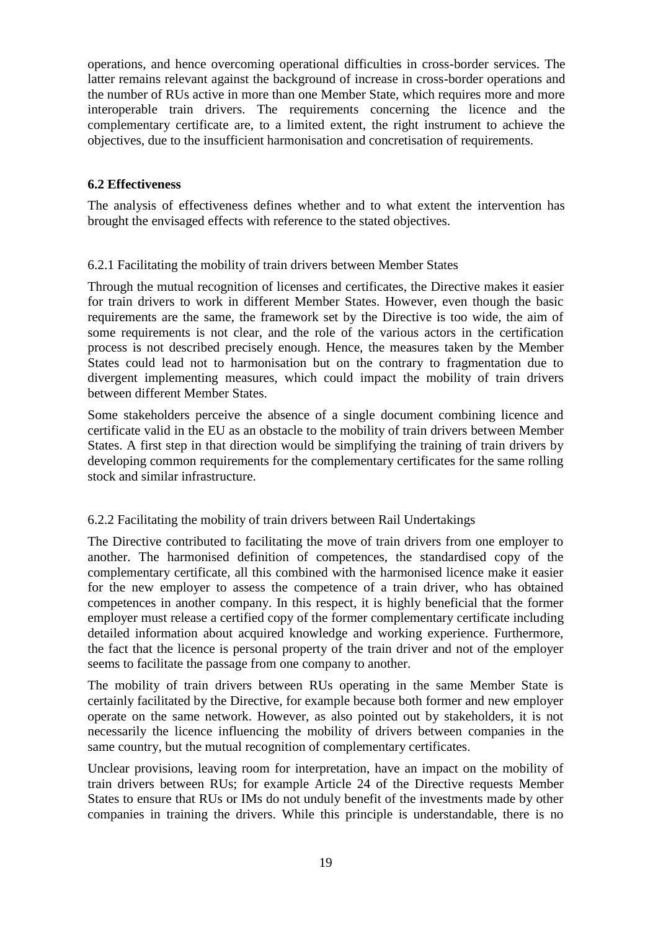operations, and hence overcoming operational difficulties in cross-border services. The latter remains relevant against the background of increase in cross-border operations and the number of RUs active in more than one Member State, which requires more and more interoperable train drivers. The requirements concerning the licence and the complementary certificate are, to a limited extent, the right instrument to achieve the objectives, due to the insufficient harmonisation and concretisation of requirements.

# **6.2 Effectiveness**

The analysis of effectiveness defines whether and to what extent the intervention has brought the envisaged effects with reference to the stated objectives.

## 6.2.1 Facilitating the mobility of train drivers between Member States

Through the mutual recognition of licenses and certificates, the Directive makes it easier for train drivers to work in different Member States. However, even though the basic requirements are the same, the framework set by the Directive is too wide, the aim of some requirements is not clear, and the role of the various actors in the certification process is not described precisely enough. Hence, the measures taken by the Member States could lead not to harmonisation but on the contrary to fragmentation due to divergent implementing measures, which could impact the mobility of train drivers between different Member States.

Some stakeholders perceive the absence of a single document combining licence and certificate valid in the EU as an obstacle to the mobility of train drivers between Member States. A first step in that direction would be simplifying the training of train drivers by developing common requirements for the complementary certificates for the same rolling stock and similar infrastructure.

# 6.2.2 Facilitating the mobility of train drivers between Rail Undertakings

The Directive contributed to facilitating the move of train drivers from one employer to another. The harmonised definition of competences, the standardised copy of the complementary certificate, all this combined with the harmonised licence make it easier for the new employer to assess the competence of a train driver, who has obtained competences in another company. In this respect, it is highly beneficial that the former employer must release a certified copy of the former complementary certificate including detailed information about acquired knowledge and working experience. Furthermore, the fact that the licence is personal property of the train driver and not of the employer seems to facilitate the passage from one company to another.

The mobility of train drivers between RUs operating in the same Member State is certainly facilitated by the Directive, for example because both former and new employer operate on the same network. However, as also pointed out by stakeholders, it is not necessarily the licence influencing the mobility of drivers between companies in the same country, but the mutual recognition of complementary certificates.

Unclear provisions, leaving room for interpretation, have an impact on the mobility of train drivers between RUs; for example Article 24 of the Directive requests Member States to ensure that RUs or IMs do not unduly benefit of the investments made by other companies in training the drivers. While this principle is understandable, there is no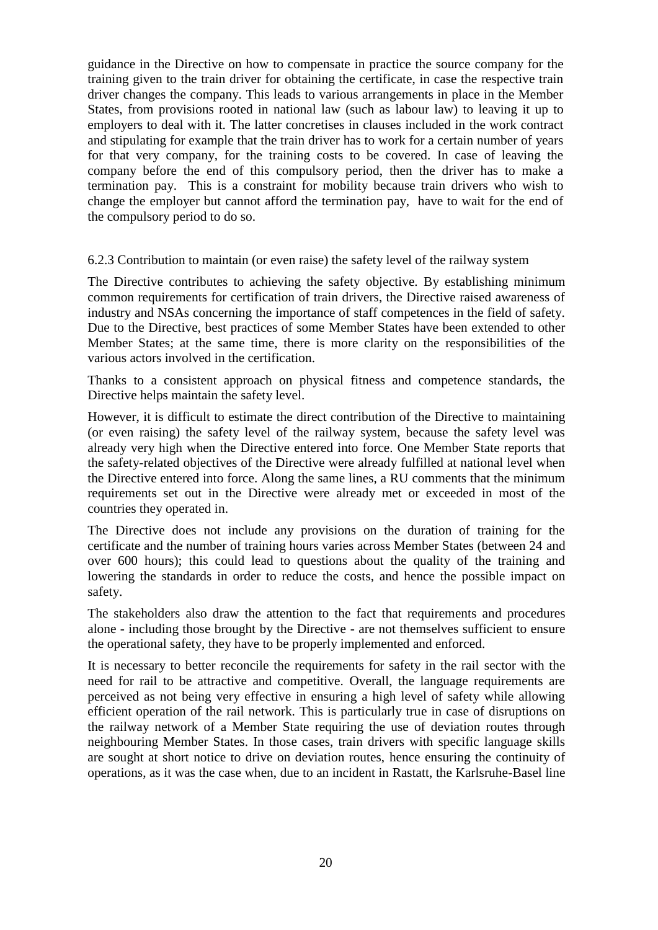guidance in the Directive on how to compensate in practice the source company for the training given to the train driver for obtaining the certificate, in case the respective train driver changes the company. This leads to various arrangements in place in the Member States, from provisions rooted in national law (such as labour law) to leaving it up to employers to deal with it. The latter concretises in clauses included in the work contract and stipulating for example that the train driver has to work for a certain number of years for that very company, for the training costs to be covered. In case of leaving the company before the end of this compulsory period, then the driver has to make a termination pay. This is a constraint for mobility because train drivers who wish to change the employer but cannot afford the termination pay, have to wait for the end of the compulsory period to do so.

6.2.3 Contribution to maintain (or even raise) the safety level of the railway system

The Directive contributes to achieving the safety objective. By establishing minimum common requirements for certification of train drivers, the Directive raised awareness of industry and NSAs concerning the importance of staff competences in the field of safety. Due to the Directive, best practices of some Member States have been extended to other Member States; at the same time, there is more clarity on the responsibilities of the various actors involved in the certification.

Thanks to a consistent approach on physical fitness and competence standards, the Directive helps maintain the safety level.

However, it is difficult to estimate the direct contribution of the Directive to maintaining (or even raising) the safety level of the railway system, because the safety level was already very high when the Directive entered into force. One Member State reports that the safety-related objectives of the Directive were already fulfilled at national level when the Directive entered into force. Along the same lines, a RU comments that the minimum requirements set out in the Directive were already met or exceeded in most of the countries they operated in.

The Directive does not include any provisions on the duration of training for the certificate and the number of training hours varies across Member States (between 24 and over 600 hours); this could lead to questions about the quality of the training and lowering the standards in order to reduce the costs, and hence the possible impact on safety.

The stakeholders also draw the attention to the fact that requirements and procedures alone - including those brought by the Directive - are not themselves sufficient to ensure the operational safety, they have to be properly implemented and enforced.

It is necessary to better reconcile the requirements for safety in the rail sector with the need for rail to be attractive and competitive. Overall, the language requirements are perceived as not being very effective in ensuring a high level of safety while allowing efficient operation of the rail network. This is particularly true in case of disruptions on the railway network of a Member State requiring the use of deviation routes through neighbouring Member States. In those cases, train drivers with specific language skills are sought at short notice to drive on deviation routes, hence ensuring the continuity of operations, as it was the case when, due to an incident in Rastatt, the Karlsruhe-Basel line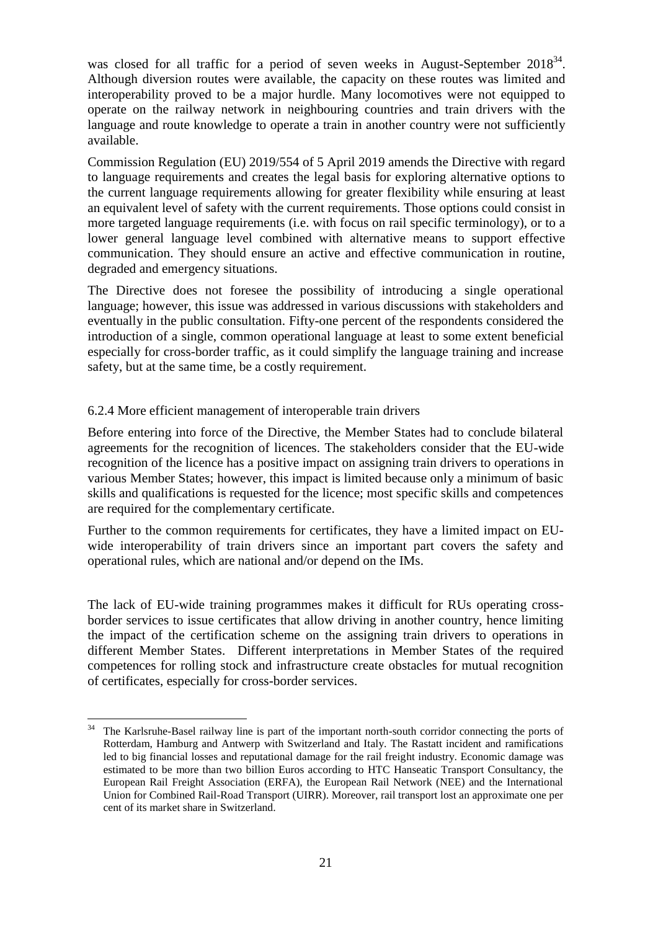was closed for all traffic for a period of seven weeks in August-September  $2018^{34}$ . Although diversion routes were available, the capacity on these routes was limited and interoperability proved to be a major hurdle. Many locomotives were not equipped to operate on the railway network in neighbouring countries and train drivers with the language and route knowledge to operate a train in another country were not sufficiently available.

Commission Regulation (EU) 2019/554 of 5 April 2019 amends the Directive with regard to language requirements and creates the legal basis for exploring alternative options to the current language requirements allowing for greater flexibility while ensuring at least an equivalent level of safety with the current requirements. Those options could consist in more targeted language requirements (i.e. with focus on rail specific terminology), or to a lower general language level combined with alternative means to support effective communication. They should ensure an active and effective communication in routine, degraded and emergency situations.

The Directive does not foresee the possibility of introducing a single operational language; however, this issue was addressed in various discussions with stakeholders and eventually in the public consultation. Fifty-one percent of the respondents considered the introduction of a single, common operational language at least to some extent beneficial especially for cross-border traffic, as it could simplify the language training and increase safety, but at the same time, be a costly requirement.

## 6.2.4 More efficient management of interoperable train drivers

Before entering into force of the Directive, the Member States had to conclude bilateral agreements for the recognition of licences. The stakeholders consider that the EU-wide recognition of the licence has a positive impact on assigning train drivers to operations in various Member States; however, this impact is limited because only a minimum of basic skills and qualifications is requested for the licence; most specific skills and competences are required for the complementary certificate.

Further to the common requirements for certificates, they have a limited impact on EUwide interoperability of train drivers since an important part covers the safety and operational rules, which are national and/or depend on the IMs.

The lack of EU-wide training programmes makes it difficult for RUs operating crossborder services to issue certificates that allow driving in another country, hence limiting the impact of the certification scheme on the assigning train drivers to operations in different Member States. Different interpretations in Member States of the required competences for rolling stock and infrastructure create obstacles for mutual recognition of certificates, especially for cross-border services.

 $34$ <sup>34</sup> The Karlsruhe-Basel railway line is part of the important north-south corridor connecting the ports of Rotterdam, Hamburg and Antwerp with Switzerland and Italy. The Rastatt incident and ramifications led to big financial losses and reputational damage for the rail freight industry. Economic damage was estimated to be more than two billion Euros according to HTC Hanseatic Transport Consultancy, the European Rail Freight Association (ERFA), the European Rail Network (NEE) and the International Union for Combined Rail-Road Transport (UIRR). Moreover, rail transport lost an approximate one per cent of its market share in Switzerland.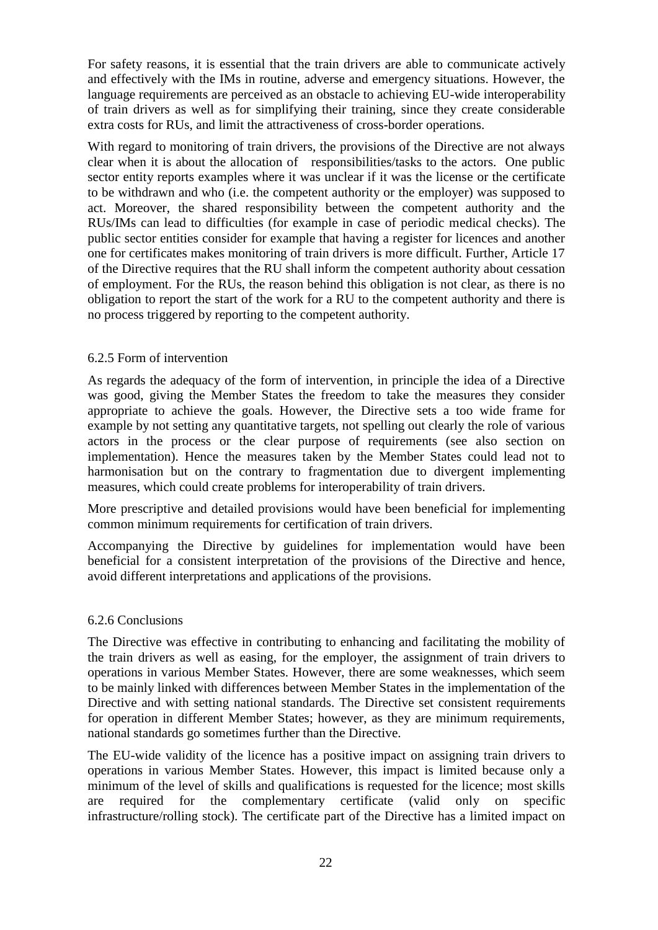For safety reasons, it is essential that the train drivers are able to communicate actively and effectively with the IMs in routine, adverse and emergency situations. However, the language requirements are perceived as an obstacle to achieving EU-wide interoperability of train drivers as well as for simplifying their training, since they create considerable extra costs for RUs, and limit the attractiveness of cross-border operations.

With regard to monitoring of train drivers, the provisions of the Directive are not always clear when it is about the allocation of responsibilities/tasks to the actors. One public sector entity reports examples where it was unclear if it was the license or the certificate to be withdrawn and who (i.e. the competent authority or the employer) was supposed to act. Moreover, the shared responsibility between the competent authority and the RUs/IMs can lead to difficulties (for example in case of periodic medical checks). The public sector entities consider for example that having a register for licences and another one for certificates makes monitoring of train drivers is more difficult. Further, Article 17 of the Directive requires that the RU shall inform the competent authority about cessation of employment. For the RUs, the reason behind this obligation is not clear, as there is no obligation to report the start of the work for a RU to the competent authority and there is no process triggered by reporting to the competent authority.

## 6.2.5 Form of intervention

As regards the adequacy of the form of intervention, in principle the idea of a Directive was good, giving the Member States the freedom to take the measures they consider appropriate to achieve the goals. However, the Directive sets a too wide frame for example by not setting any quantitative targets, not spelling out clearly the role of various actors in the process or the clear purpose of requirements (see also section on implementation). Hence the measures taken by the Member States could lead not to harmonisation but on the contrary to fragmentation due to divergent implementing measures, which could create problems for interoperability of train drivers.

More prescriptive and detailed provisions would have been beneficial for implementing common minimum requirements for certification of train drivers.

Accompanying the Directive by guidelines for implementation would have been beneficial for a consistent interpretation of the provisions of the Directive and hence, avoid different interpretations and applications of the provisions.

#### 6.2.6 Conclusions

The Directive was effective in contributing to enhancing and facilitating the mobility of the train drivers as well as easing, for the employer, the assignment of train drivers to operations in various Member States. However, there are some weaknesses, which seem to be mainly linked with differences between Member States in the implementation of the Directive and with setting national standards. The Directive set consistent requirements for operation in different Member States; however, as they are minimum requirements, national standards go sometimes further than the Directive.

The EU-wide validity of the licence has a positive impact on assigning train drivers to operations in various Member States. However, this impact is limited because only a minimum of the level of skills and qualifications is requested for the licence; most skills are required for the complementary certificate (valid only on specific infrastructure/rolling stock). The certificate part of the Directive has a limited impact on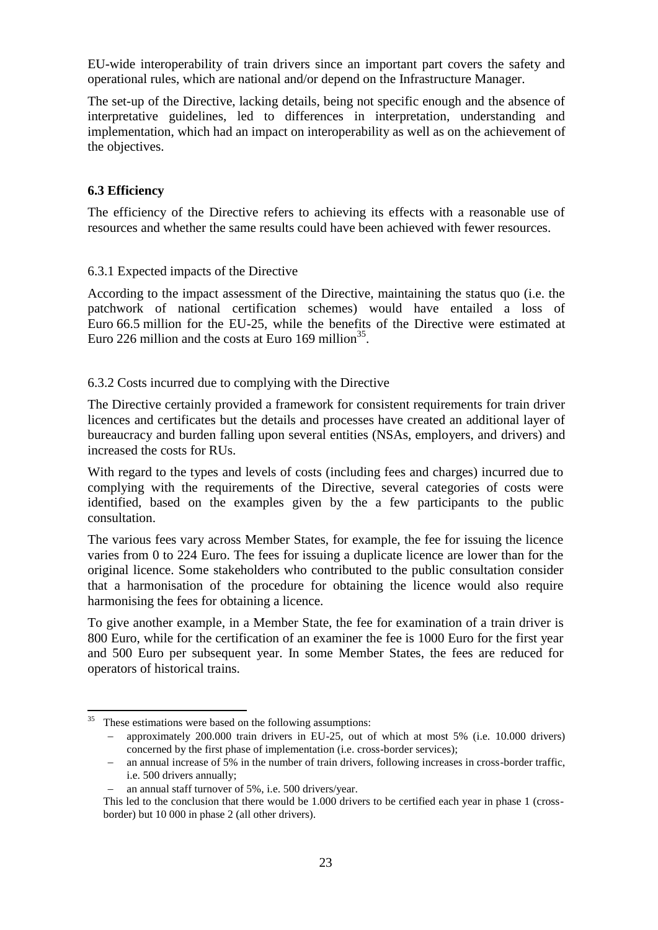EU-wide interoperability of train drivers since an important part covers the safety and operational rules, which are national and/or depend on the Infrastructure Manager.

The set-up of the Directive, lacking details, being not specific enough and the absence of interpretative guidelines, led to differences in interpretation, understanding and implementation, which had an impact on interoperability as well as on the achievement of the objectives.

## **6.3 Efficiency**

The efficiency of the Directive refers to achieving its effects with a reasonable use of resources and whether the same results could have been achieved with fewer resources.

## 6.3.1 Expected impacts of the Directive

According to the impact assessment of the Directive, maintaining the status quo (i.e. the patchwork of national certification schemes) would have entailed a loss of Euro 66.5 million for the EU-25, while the benefits of the Directive were estimated at Euro 226 million and the costs at Euro 169 million<sup>35</sup>.

## 6.3.2 Costs incurred due to complying with the Directive

The Directive certainly provided a framework for consistent requirements for train driver licences and certificates but the details and processes have created an additional layer of bureaucracy and burden falling upon several entities (NSAs, employers, and drivers) and increased the costs for RUs.

With regard to the types and levels of costs (including fees and charges) incurred due to complying with the requirements of the Directive, several categories of costs were identified, based on the examples given by the a few participants to the public consultation.

The various fees vary across Member States, for example, the fee for issuing the licence varies from 0 to 224 Euro. The fees for issuing a duplicate licence are lower than for the original licence. Some stakeholders who contributed to the public consultation consider that a harmonisation of the procedure for obtaining the licence would also require harmonising the fees for obtaining a licence.

To give another example, in a Member State, the fee for examination of a train driver is 800 Euro, while for the certification of an examiner the fee is 1000 Euro for the first year and 500 Euro per subsequent year. In some Member States, the fees are reduced for operators of historical trains.

 $35$ These estimations were based on the following assumptions:

approximately 200.000 train drivers in EU-25, out of which at most 5% (i.e. 10.000 drivers) concerned by the first phase of implementation (i.e. cross-border services);

an annual increase of 5% in the number of train drivers, following increases in cross-border traffic, i.e. 500 drivers annually;

an annual staff turnover of 5%, i.e. 500 drivers/year.

This led to the conclusion that there would be 1.000 drivers to be certified each year in phase 1 (crossborder) but 10 000 in phase 2 (all other drivers).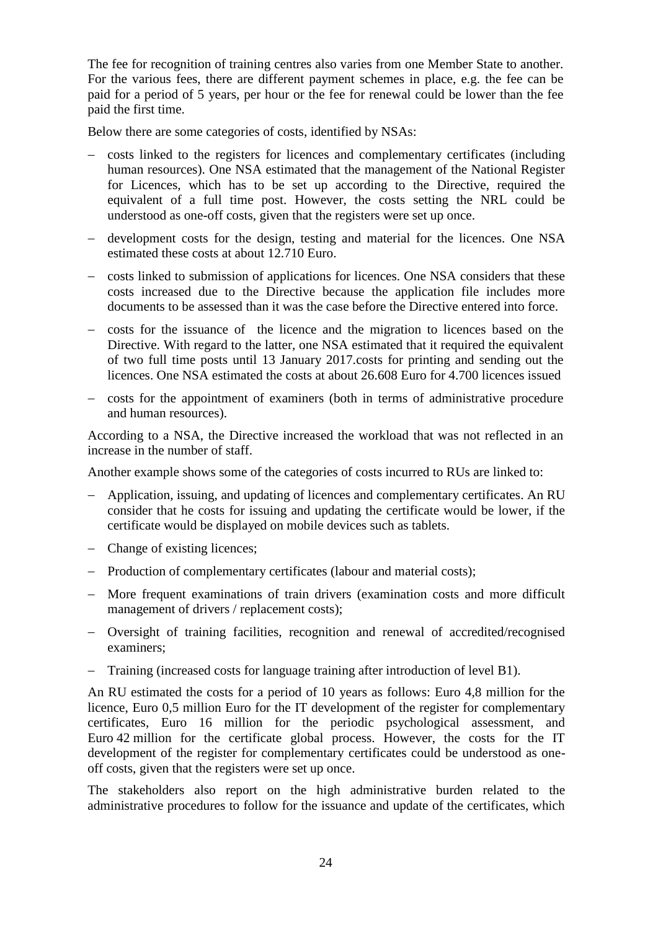The fee for recognition of training centres also varies from one Member State to another. For the various fees, there are different payment schemes in place, e.g. the fee can be paid for a period of 5 years, per hour or the fee for renewal could be lower than the fee paid the first time.

Below there are some categories of costs, identified by NSAs:

- costs linked to the registers for licences and complementary certificates (including human resources). One NSA estimated that the management of the National Register for Licences, which has to be set up according to the Directive, required the equivalent of a full time post. However, the costs setting the NRL could be understood as one-off costs, given that the registers were set up once.
- development costs for the design, testing and material for the licences. One NSA estimated these costs at about 12.710 Euro.
- costs linked to submission of applications for licences. One NSA considers that these costs increased due to the Directive because the application file includes more documents to be assessed than it was the case before the Directive entered into force.
- costs for the issuance of the licence and the migration to licences based on the Directive. With regard to the latter, one NSA estimated that it required the equivalent of two full time posts until 13 January 2017.costs for printing and sending out the licences. One NSA estimated the costs at about 26.608 Euro for 4.700 licences issued
- costs for the appointment of examiners (both in terms of administrative procedure and human resources).

According to a NSA, the Directive increased the workload that was not reflected in an increase in the number of staff.

Another example shows some of the categories of costs incurred to RUs are linked to:

- Application, issuing, and updating of licences and complementary certificates. An RU consider that he costs for issuing and updating the certificate would be lower, if the certificate would be displayed on mobile devices such as tablets.
- Change of existing licences;
- Production of complementary certificates (labour and material costs);
- More frequent examinations of train drivers (examination costs and more difficult management of drivers / replacement costs);
- Oversight of training facilities, recognition and renewal of accredited/recognised examiners;
- Training (increased costs for language training after introduction of level B1).

An RU estimated the costs for a period of 10 years as follows: Euro 4,8 million for the licence, Euro 0,5 million Euro for the IT development of the register for complementary certificates, Euro 16 million for the periodic psychological assessment, and Euro 42 million for the certificate global process. However, the costs for the IT development of the register for complementary certificates could be understood as oneoff costs, given that the registers were set up once.

The stakeholders also report on the high administrative burden related to the administrative procedures to follow for the issuance and update of the certificates, which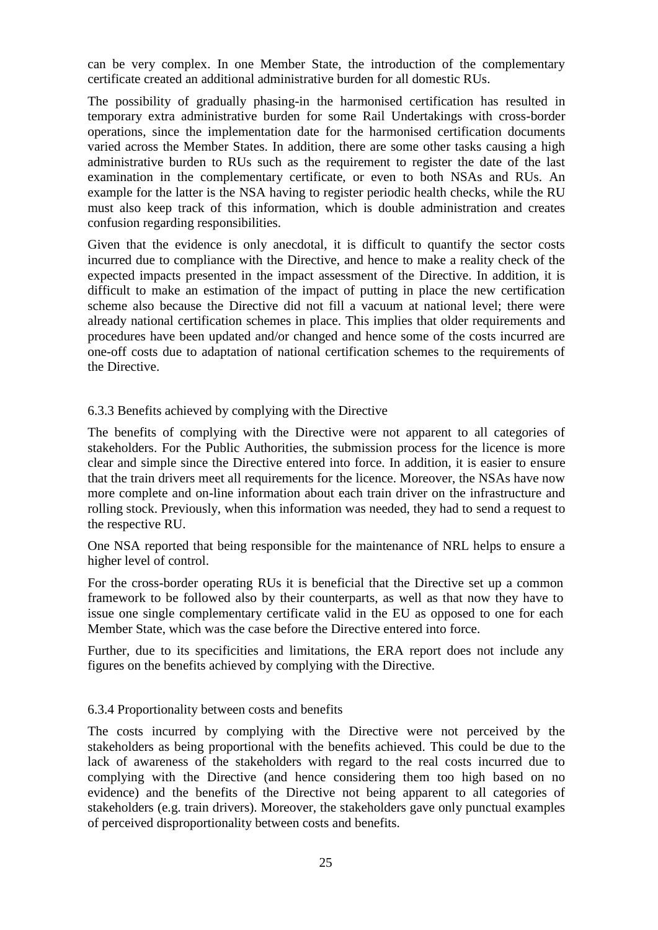can be very complex. In one Member State, the introduction of the complementary certificate created an additional administrative burden for all domestic RUs.

The possibility of gradually phasing-in the harmonised certification has resulted in temporary extra administrative burden for some Rail Undertakings with cross-border operations, since the implementation date for the harmonised certification documents varied across the Member States. In addition, there are some other tasks causing a high administrative burden to RUs such as the requirement to register the date of the last examination in the complementary certificate, or even to both NSAs and RUs. An example for the latter is the NSA having to register periodic health checks, while the RU must also keep track of this information, which is double administration and creates confusion regarding responsibilities.

Given that the evidence is only anecdotal, it is difficult to quantify the sector costs incurred due to compliance with the Directive, and hence to make a reality check of the expected impacts presented in the impact assessment of the Directive. In addition, it is difficult to make an estimation of the impact of putting in place the new certification scheme also because the Directive did not fill a vacuum at national level; there were already national certification schemes in place. This implies that older requirements and procedures have been updated and/or changed and hence some of the costs incurred are one-off costs due to adaptation of national certification schemes to the requirements of the Directive.

## 6.3.3 Benefits achieved by complying with the Directive

The benefits of complying with the Directive were not apparent to all categories of stakeholders. For the Public Authorities, the submission process for the licence is more clear and simple since the Directive entered into force. In addition, it is easier to ensure that the train drivers meet all requirements for the licence. Moreover, the NSAs have now more complete and on-line information about each train driver on the infrastructure and rolling stock. Previously, when this information was needed, they had to send a request to the respective RU.

One NSA reported that being responsible for the maintenance of NRL helps to ensure a higher level of control.

For the cross-border operating RUs it is beneficial that the Directive set up a common framework to be followed also by their counterparts, as well as that now they have to issue one single complementary certificate valid in the EU as opposed to one for each Member State, which was the case before the Directive entered into force.

Further, due to its specificities and limitations, the ERA report does not include any figures on the benefits achieved by complying with the Directive.

#### 6.3.4 Proportionality between costs and benefits

The costs incurred by complying with the Directive were not perceived by the stakeholders as being proportional with the benefits achieved. This could be due to the lack of awareness of the stakeholders with regard to the real costs incurred due to complying with the Directive (and hence considering them too high based on no evidence) and the benefits of the Directive not being apparent to all categories of stakeholders (e.g. train drivers). Moreover, the stakeholders gave only punctual examples of perceived disproportionality between costs and benefits.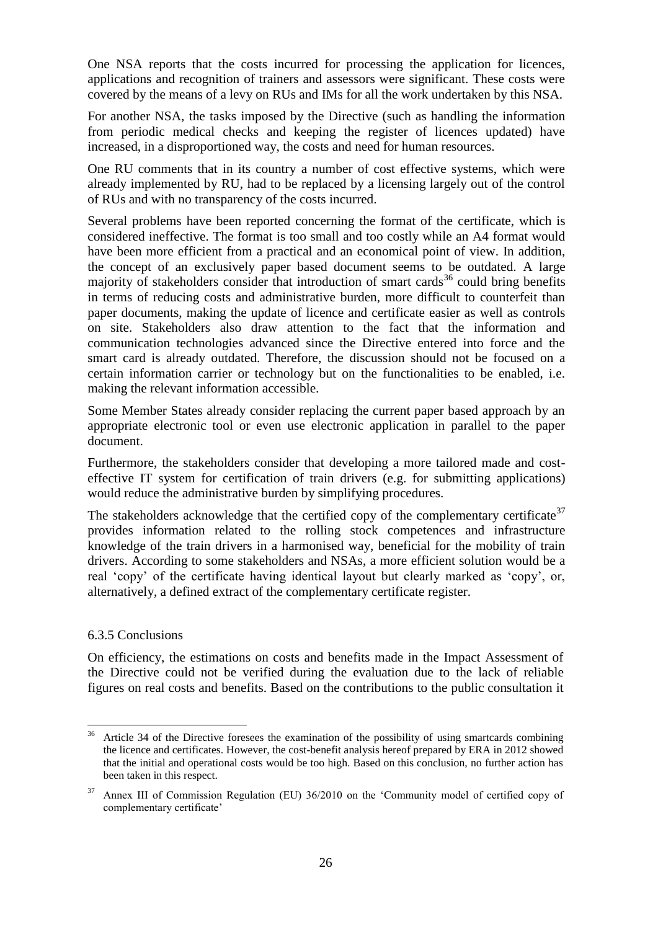One NSA reports that the costs incurred for processing the application for licences, applications and recognition of trainers and assessors were significant. These costs were covered by the means of a levy on RUs and IMs for all the work undertaken by this NSA.

For another NSA, the tasks imposed by the Directive (such as handling the information from periodic medical checks and keeping the register of licences updated) have increased, in a disproportioned way, the costs and need for human resources.

One RU comments that in its country a number of cost effective systems, which were already implemented by RU, had to be replaced by a licensing largely out of the control of RUs and with no transparency of the costs incurred.

Several problems have been reported concerning the format of the certificate, which is considered ineffective. The format is too small and too costly while an A4 format would have been more efficient from a practical and an economical point of view. In addition, the concept of an exclusively paper based document seems to be outdated. A large majority of stakeholders consider that introduction of smart cards<sup>36</sup> could bring benefits in terms of reducing costs and administrative burden, more difficult to counterfeit than paper documents, making the update of licence and certificate easier as well as controls on site. Stakeholders also draw attention to the fact that the information and communication technologies advanced since the Directive entered into force and the smart card is already outdated. Therefore, the discussion should not be focused on a certain information carrier or technology but on the functionalities to be enabled, i.e. making the relevant information accessible.

Some Member States already consider replacing the current paper based approach by an appropriate electronic tool or even use electronic application in parallel to the paper document.

Furthermore, the stakeholders consider that developing a more tailored made and costeffective IT system for certification of train drivers (e.g. for submitting applications) would reduce the administrative burden by simplifying procedures.

The stakeholders acknowledge that the certified copy of the complementary certificate<sup>37</sup> provides information related to the rolling stock competences and infrastructure knowledge of the train drivers in a harmonised way, beneficial for the mobility of train drivers. According to some stakeholders and NSAs, a more efficient solution would be a real 'copy' of the certificate having identical layout but clearly marked as 'copy', or, alternatively, a defined extract of the complementary certificate register.

## 6.3.5 Conclusions

On efficiency, the estimations on costs and benefits made in the Impact Assessment of the Directive could not be verified during the evaluation due to the lack of reliable figures on real costs and benefits. Based on the contributions to the public consultation it

 $36\,$ <sup>36</sup> Article 34 of the Directive foresees the examination of the possibility of using smartcards combining the licence and certificates. However, the cost-benefit analysis hereof prepared by ERA in 2012 showed that the initial and operational costs would be too high. Based on this conclusion, no further action has been taken in this respect.

<sup>37</sup> Annex III of Commission Regulation (EU) 36/2010 on the 'Community model of certified copy of complementary certificate'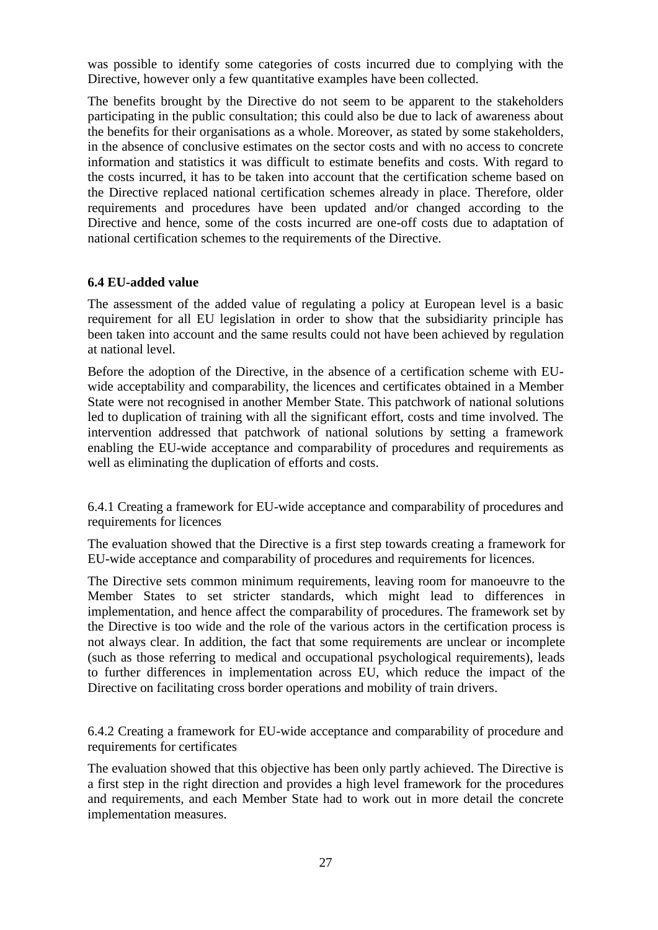was possible to identify some categories of costs incurred due to complying with the Directive, however only a few quantitative examples have been collected.

The benefits brought by the Directive do not seem to be apparent to the stakeholders participating in the public consultation; this could also be due to lack of awareness about the benefits for their organisations as a whole. Moreover, as stated by some stakeholders, in the absence of conclusive estimates on the sector costs and with no access to concrete information and statistics it was difficult to estimate benefits and costs. With regard to the costs incurred, it has to be taken into account that the certification scheme based on the Directive replaced national certification schemes already in place. Therefore, older requirements and procedures have been updated and/or changed according to the Directive and hence, some of the costs incurred are one-off costs due to adaptation of national certification schemes to the requirements of the Directive.

## **6.4 EU-added value**

The assessment of the added value of regulating a policy at European level is a basic requirement for all EU legislation in order to show that the subsidiarity principle has been taken into account and the same results could not have been achieved by regulation at national level.

Before the adoption of the Directive, in the absence of a certification scheme with EUwide acceptability and comparability, the licences and certificates obtained in a Member State were not recognised in another Member State. This patchwork of national solutions led to duplication of training with all the significant effort, costs and time involved. The intervention addressed that patchwork of national solutions by setting a framework enabling the EU-wide acceptance and comparability of procedures and requirements as well as eliminating the duplication of efforts and costs.

6.4.1 Creating a framework for EU-wide acceptance and comparability of procedures and requirements for licences

The evaluation showed that the Directive is a first step towards creating a framework for EU-wide acceptance and comparability of procedures and requirements for licences.

The Directive sets common minimum requirements, leaving room for manoeuvre to the Member States to set stricter standards, which might lead to differences in implementation, and hence affect the comparability of procedures. The framework set by the Directive is too wide and the role of the various actors in the certification process is not always clear. In addition, the fact that some requirements are unclear or incomplete (such as those referring to medical and occupational psychological requirements), leads to further differences in implementation across EU, which reduce the impact of the Directive on facilitating cross border operations and mobility of train drivers.

6.4.2 Creating a framework for EU-wide acceptance and comparability of procedure and requirements for certificates

The evaluation showed that this objective has been only partly achieved. The Directive is a first step in the right direction and provides a high level framework for the procedures and requirements, and each Member State had to work out in more detail the concrete implementation measures.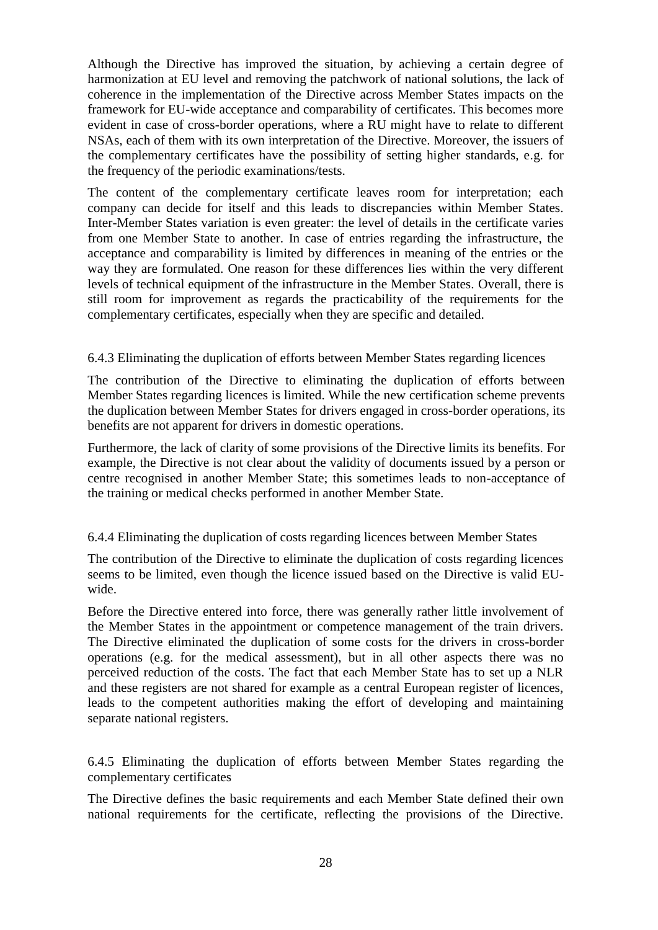Although the Directive has improved the situation, by achieving a certain degree of harmonization at EU level and removing the patchwork of national solutions, the lack of coherence in the implementation of the Directive across Member States impacts on the framework for EU-wide acceptance and comparability of certificates. This becomes more evident in case of cross-border operations, where a RU might have to relate to different NSAs, each of them with its own interpretation of the Directive. Moreover, the issuers of the complementary certificates have the possibility of setting higher standards, e.g. for the frequency of the periodic examinations/tests.

The content of the complementary certificate leaves room for interpretation; each company can decide for itself and this leads to discrepancies within Member States. Inter-Member States variation is even greater: the level of details in the certificate varies from one Member State to another. In case of entries regarding the infrastructure, the acceptance and comparability is limited by differences in meaning of the entries or the way they are formulated. One reason for these differences lies within the very different levels of technical equipment of the infrastructure in the Member States. Overall, there is still room for improvement as regards the practicability of the requirements for the complementary certificates, especially when they are specific and detailed.

## 6.4.3 Eliminating the duplication of efforts between Member States regarding licences

The contribution of the Directive to eliminating the duplication of efforts between Member States regarding licences is limited. While the new certification scheme prevents the duplication between Member States for drivers engaged in cross-border operations, its benefits are not apparent for drivers in domestic operations.

Furthermore, the lack of clarity of some provisions of the Directive limits its benefits. For example, the Directive is not clear about the validity of documents issued by a person or centre recognised in another Member State; this sometimes leads to non-acceptance of the training or medical checks performed in another Member State.

## 6.4.4 Eliminating the duplication of costs regarding licences between Member States

The contribution of the Directive to eliminate the duplication of costs regarding licences seems to be limited, even though the licence issued based on the Directive is valid EUwide.

Before the Directive entered into force, there was generally rather little involvement of the Member States in the appointment or competence management of the train drivers. The Directive eliminated the duplication of some costs for the drivers in cross-border operations (e.g. for the medical assessment), but in all other aspects there was no perceived reduction of the costs. The fact that each Member State has to set up a NLR and these registers are not shared for example as a central European register of licences, leads to the competent authorities making the effort of developing and maintaining separate national registers.

6.4.5 Eliminating the duplication of efforts between Member States regarding the complementary certificates

The Directive defines the basic requirements and each Member State defined their own national requirements for the certificate, reflecting the provisions of the Directive.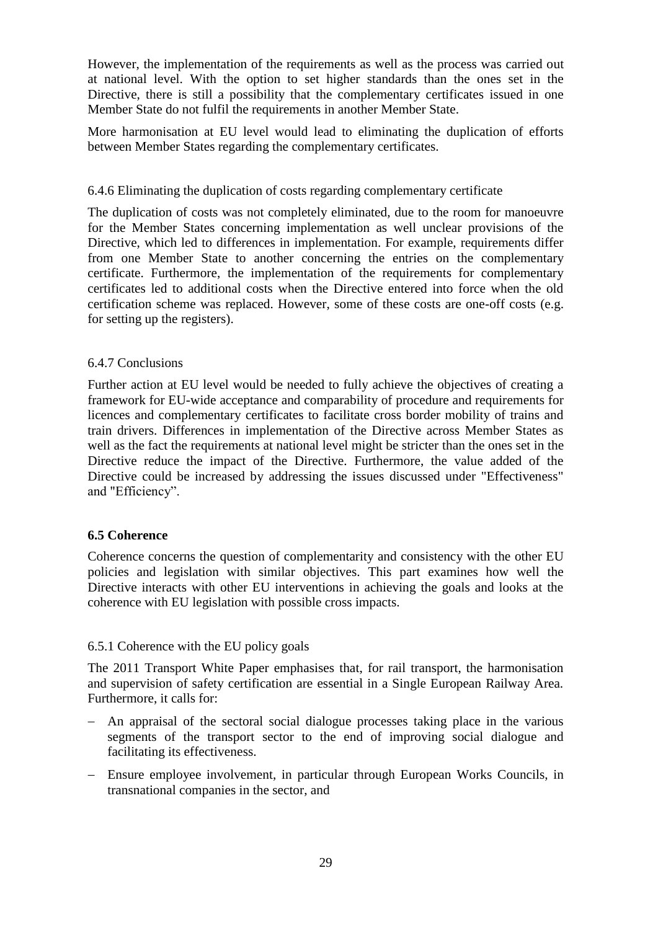However, the implementation of the requirements as well as the process was carried out at national level. With the option to set higher standards than the ones set in the Directive, there is still a possibility that the complementary certificates issued in one Member State do not fulfil the requirements in another Member State.

More harmonisation at EU level would lead to eliminating the duplication of efforts between Member States regarding the complementary certificates.

## 6.4.6 Eliminating the duplication of costs regarding complementary certificate

The duplication of costs was not completely eliminated, due to the room for manoeuvre for the Member States concerning implementation as well unclear provisions of the Directive, which led to differences in implementation. For example, requirements differ from one Member State to another concerning the entries on the complementary certificate. Furthermore, the implementation of the requirements for complementary certificates led to additional costs when the Directive entered into force when the old certification scheme was replaced. However, some of these costs are one-off costs (e.g. for setting up the registers).

## 6.4.7 Conclusions

Further action at EU level would be needed to fully achieve the objectives of creating a framework for EU-wide acceptance and comparability of procedure and requirements for licences and complementary certificates to facilitate cross border mobility of trains and train drivers. Differences in implementation of the Directive across Member States as well as the fact the requirements at national level might be stricter than the ones set in the Directive reduce the impact of the Directive. Furthermore, the value added of the Directive could be increased by addressing the issues discussed under "Effectiveness" and "Efficiency".

## **6.5 Coherence**

Coherence concerns the question of complementarity and consistency with the other EU policies and legislation with similar objectives. This part examines how well the Directive interacts with other EU interventions in achieving the goals and looks at the coherence with EU legislation with possible cross impacts.

# 6.5.1 Coherence with the EU policy goals

The 2011 Transport White Paper emphasises that, for rail transport, the harmonisation and supervision of safety certification are essential in a Single European Railway Area. Furthermore, it calls for:

- An appraisal of the sectoral social dialogue processes taking place in the various segments of the transport sector to the end of improving social dialogue and facilitating its effectiveness.
- Ensure employee involvement, in particular through European Works Councils, in transnational companies in the sector, and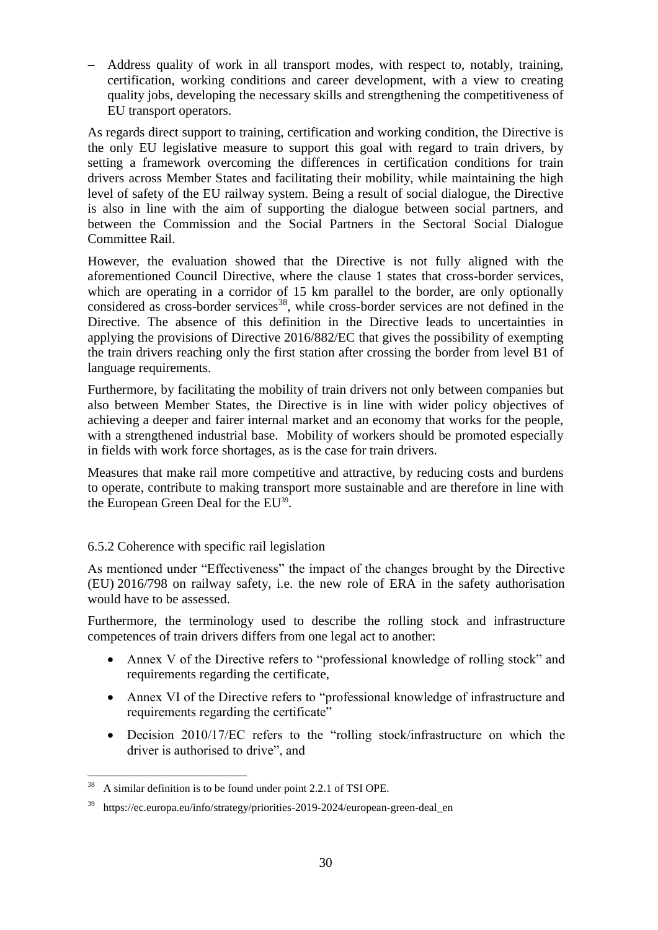Address quality of work in all transport modes, with respect to, notably, training, certification, working conditions and career development, with a view to creating quality jobs, developing the necessary skills and strengthening the competitiveness of EU transport operators.

As regards direct support to training, certification and working condition, the Directive is the only EU legislative measure to support this goal with regard to train drivers, by setting a framework overcoming the differences in certification conditions for train drivers across Member States and facilitating their mobility, while maintaining the high level of safety of the EU railway system. Being a result of social dialogue, the Directive is also in line with the aim of supporting the dialogue between social partners, and between the Commission and the Social Partners in the Sectoral Social Dialogue Committee Rail.

However, the evaluation showed that the Directive is not fully aligned with the aforementioned Council Directive, where the clause 1 states that cross-border services, which are operating in a corridor of 15 km parallel to the border, are only optionally considered as cross-border services<sup>38</sup>, while cross-border services are not defined in the Directive. The absence of this definition in the Directive leads to uncertainties in applying the provisions of Directive 2016/882/EC that gives the possibility of exempting the train drivers reaching only the first station after crossing the border from level B1 of language requirements.

Furthermore, by facilitating the mobility of train drivers not only between companies but also between Member States, the Directive is in line with wider policy objectives of achieving a deeper and fairer internal market and an economy that works for the people, with a strengthened industrial base. Mobility of workers should be promoted especially in fields with work force shortages, as is the case for train drivers.

Measures that make rail more competitive and attractive, by reducing costs and burdens to operate, contribute to making transport more sustainable and are therefore in line with the European Green Deal for the EU<sup>39</sup>.

## 6.5.2 Coherence with specific rail legislation

As mentioned under "Effectiveness" the impact of the changes brought by the Directive (EU) 2016/798 on railway safety, i.e. the new role of ERA in the safety authorisation would have to be assessed.

Furthermore, the terminology used to describe the rolling stock and infrastructure competences of train drivers differs from one legal act to another:

- Annex V of the Directive refers to "professional knowledge of rolling stock" and requirements regarding the certificate,
- Annex VI of the Directive refers to "professional knowledge of infrastructure and requirements regarding the certificate"
- Decision 2010/17/EC refers to the "rolling stock/infrastructure on which the driver is authorised to drive", and

 $\overline{a}$ 

A similar definition is to be found under point 2.2.1 of TSI OPE.

<sup>39</sup> https://ec.europa.eu/info/strategy/priorities-2019-2024/european-green-deal\_en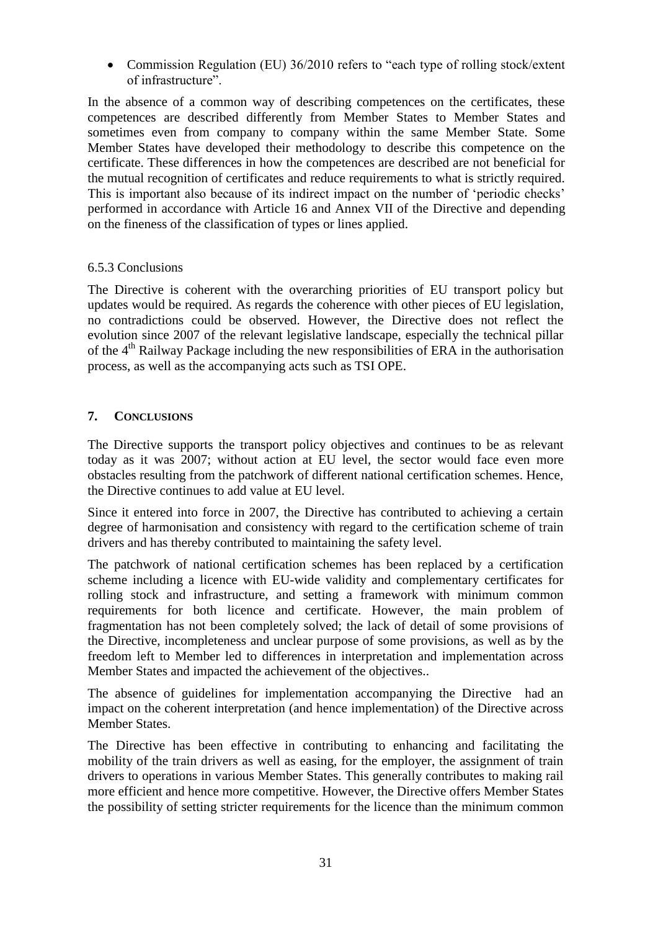• Commission Regulation (EU) 36/2010 refers to "each type of rolling stock/extent of infrastructure".

In the absence of a common way of describing competences on the certificates, these competences are described differently from Member States to Member States and sometimes even from company to company within the same Member State. Some Member States have developed their methodology to describe this competence on the certificate. These differences in how the competences are described are not beneficial for the mutual recognition of certificates and reduce requirements to what is strictly required. This is important also because of its indirect impact on the number of 'periodic checks' performed in accordance with Article 16 and Annex VII of the Directive and depending on the fineness of the classification of types or lines applied.

## 6.5.3 Conclusions

The Directive is coherent with the overarching priorities of EU transport policy but updates would be required. As regards the coherence with other pieces of EU legislation, no contradictions could be observed. However, the Directive does not reflect the evolution since 2007 of the relevant legislative landscape, especially the technical pillar of the  $4<sup>th</sup>$  Railway Package including the new responsibilities of ERA in the authorisation process, as well as the accompanying acts such as TSI OPE.

## <span id="page-31-0"></span>**7. CONCLUSIONS**

The Directive supports the transport policy objectives and continues to be as relevant today as it was 2007; without action at EU level, the sector would face even more obstacles resulting from the patchwork of different national certification schemes. Hence, the Directive continues to add value at EU level.

Since it entered into force in 2007, the Directive has contributed to achieving a certain degree of harmonisation and consistency with regard to the certification scheme of train drivers and has thereby contributed to maintaining the safety level.

The patchwork of national certification schemes has been replaced by a certification scheme including a licence with EU-wide validity and complementary certificates for rolling stock and infrastructure, and setting a framework with minimum common requirements for both licence and certificate. However, the main problem of fragmentation has not been completely solved; the lack of detail of some provisions of the Directive, incompleteness and unclear purpose of some provisions, as well as by the freedom left to Member led to differences in interpretation and implementation across Member States and impacted the achievement of the objectives..

The absence of guidelines for implementation accompanying the Directive had an impact on the coherent interpretation (and hence implementation) of the Directive across Member States.

The Directive has been effective in contributing to enhancing and facilitating the mobility of the train drivers as well as easing, for the employer, the assignment of train drivers to operations in various Member States. This generally contributes to making rail more efficient and hence more competitive. However, the Directive offers Member States the possibility of setting stricter requirements for the licence than the minimum common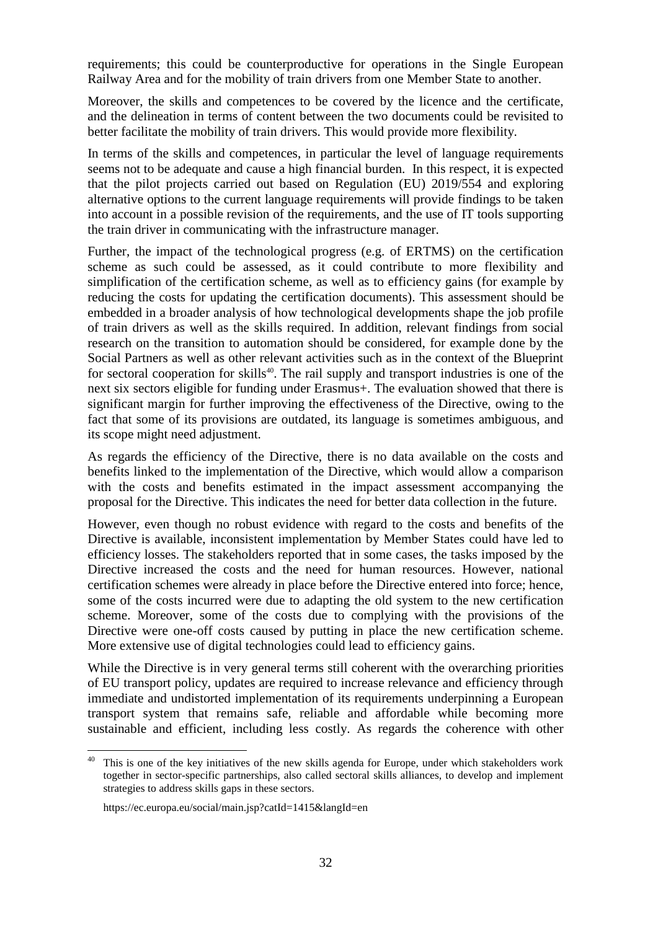requirements; this could be counterproductive for operations in the Single European Railway Area and for the mobility of train drivers from one Member State to another.

Moreover, the skills and competences to be covered by the licence and the certificate, and the delineation in terms of content between the two documents could be revisited to better facilitate the mobility of train drivers. This would provide more flexibility.

In terms of the skills and competences, in particular the level of language requirements seems not to be adequate and cause a high financial burden. In this respect, it is expected that the pilot projects carried out based on Regulation (EU) 2019/554 and exploring alternative options to the current language requirements will provide findings to be taken into account in a possible revision of the requirements, and the use of IT tools supporting the train driver in communicating with the infrastructure manager.

Further, the impact of the technological progress (e.g. of ERTMS) on the certification scheme as such could be assessed, as it could contribute to more flexibility and simplification of the certification scheme, as well as to efficiency gains (for example by reducing the costs for updating the certification documents). This assessment should be embedded in a broader analysis of how technological developments shape the job profile of train drivers as well as the skills required. In addition, relevant findings from social research on the transition to automation should be considered, for example done by the Social Partners as well as other relevant activities such as in the context of the Blueprint for sectoral cooperation for skills<sup>40</sup>. The rail supply and transport industries is one of the next six sectors eligible for funding under Erasmus+. The evaluation showed that there is significant margin for further improving the effectiveness of the Directive, owing to the fact that some of its provisions are outdated, its language is sometimes ambiguous, and its scope might need adjustment.

As regards the efficiency of the Directive, there is no data available on the costs and benefits linked to the implementation of the Directive, which would allow a comparison with the costs and benefits estimated in the impact assessment accompanying the proposal for the Directive. This indicates the need for better data collection in the future.

However, even though no robust evidence with regard to the costs and benefits of the Directive is available, inconsistent implementation by Member States could have led to efficiency losses. The stakeholders reported that in some cases, the tasks imposed by the Directive increased the costs and the need for human resources. However, national certification schemes were already in place before the Directive entered into force; hence, some of the costs incurred were due to adapting the old system to the new certification scheme. Moreover, some of the costs due to complying with the provisions of the Directive were one-off costs caused by putting in place the new certification scheme. More extensive use of digital technologies could lead to efficiency gains.

While the Directive is in very general terms still coherent with the overarching priorities of EU transport policy, updates are required to increase relevance and efficiency through immediate and undistorted implementation of its requirements underpinning a European transport system that remains safe, reliable and affordable while becoming more sustainable and efficient, including less costly. As regards the coherence with other

 $\ddot{\phantom{a}}$ 

This is one of the key initiatives of the new skills agenda for Europe, under which stakeholders work together in sector-specific partnerships, also called sectoral skills alliances, to develop and implement strategies to address skills gaps in these sectors.

https://ec.europa.eu/social/main.jsp?catId=1415&langId=en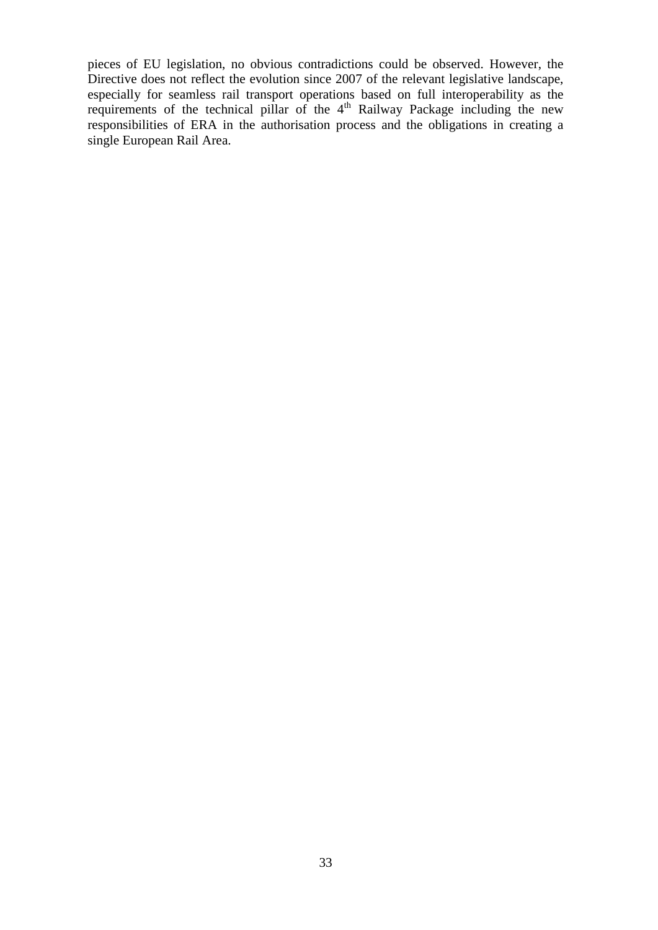pieces of EU legislation, no obvious contradictions could be observed. However, the Directive does not reflect the evolution since 2007 of the relevant legislative landscape, especially for seamless rail transport operations based on full interoperability as the requirements of the technical pillar of the  $4<sup>th</sup>$  Railway Package including the new responsibilities of ERA in the authorisation process and the obligations in creating a single European Rail Area.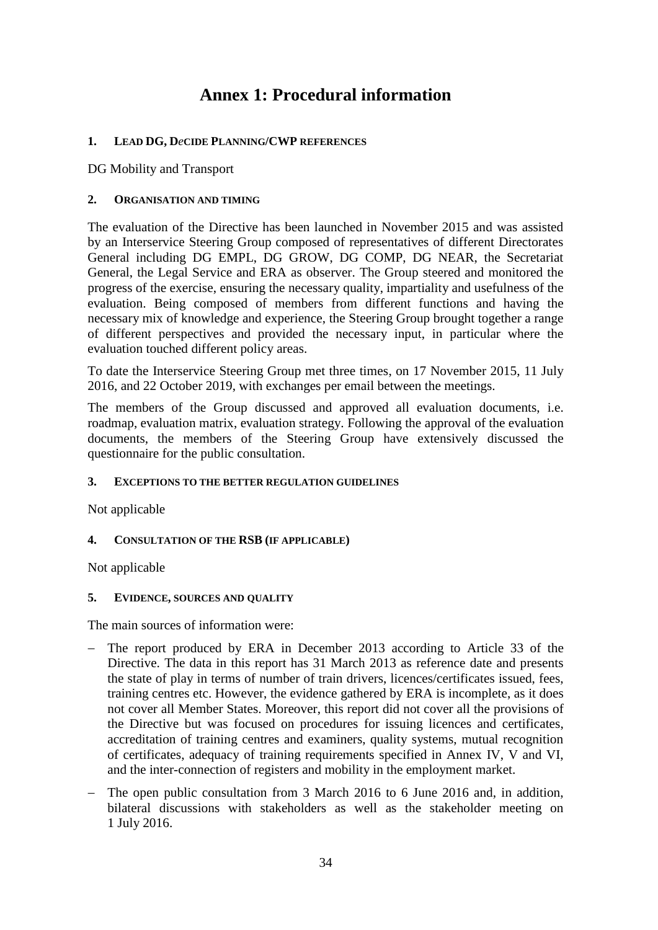# **Annex 1: Procedural information**

# **1. LEAD DG, D***e***CIDE PLANNING/CWP REFERENCES**

DG Mobility and Transport

# **2. ORGANISATION AND TIMING**

The evaluation of the Directive has been launched in November 2015 and was assisted by an Interservice Steering Group composed of representatives of different Directorates General including DG EMPL, DG GROW, DG COMP, DG NEAR, the Secretariat General, the Legal Service and ERA as observer. The Group steered and monitored the progress of the exercise, ensuring the necessary quality, impartiality and usefulness of the evaluation. Being composed of members from different functions and having the necessary mix of knowledge and experience, the Steering Group brought together a range of different perspectives and provided the necessary input, in particular where the evaluation touched different policy areas.

To date the Interservice Steering Group met three times, on 17 November 2015, 11 July 2016, and 22 October 2019, with exchanges per email between the meetings.

The members of the Group discussed and approved all evaluation documents, i.e. roadmap, evaluation matrix, evaluation strategy. Following the approval of the evaluation documents, the members of the Steering Group have extensively discussed the questionnaire for the public consultation.

# **3. EXCEPTIONS TO THE BETTER REGULATION GUIDELINES**

Not applicable

# **4. CONSULTATION OF THE RSB (IF APPLICABLE)**

Not applicable

## **5. EVIDENCE, SOURCES AND QUALITY**

The main sources of information were:

- The report produced by ERA in December 2013 according to Article 33 of the Directive. The data in this report has 31 March 2013 as reference date and presents the state of play in terms of number of train drivers, licences/certificates issued, fees, training centres etc. However, the evidence gathered by ERA is incomplete, as it does not cover all Member States. Moreover, this report did not cover all the provisions of the Directive but was focused on procedures for issuing licences and certificates, accreditation of training centres and examiners, quality systems, mutual recognition of certificates, adequacy of training requirements specified in Annex IV, V and VI, and the inter-connection of registers and mobility in the employment market.
- The open public consultation from 3 March 2016 to 6 June 2016 and, in addition, bilateral discussions with stakeholders as well as the stakeholder meeting on 1 July 2016.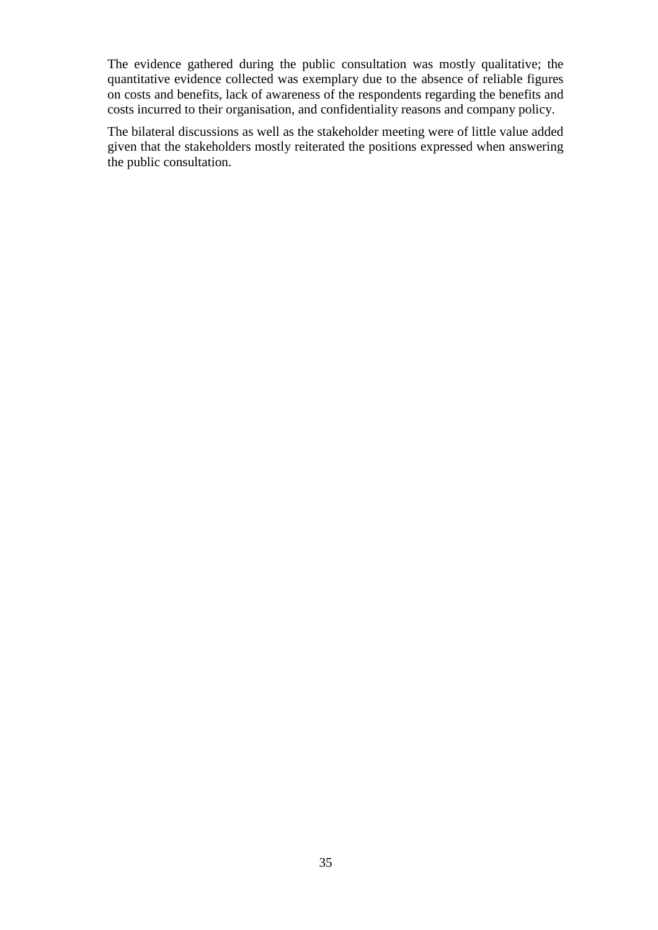The evidence gathered during the public consultation was mostly qualitative; the quantitative evidence collected was exemplary due to the absence of reliable figures on costs and benefits, lack of awareness of the respondents regarding the benefits and costs incurred to their organisation, and confidentiality reasons and company policy.

The bilateral discussions as well as the stakeholder meeting were of little value added given that the stakeholders mostly reiterated the positions expressed when answering the public consultation.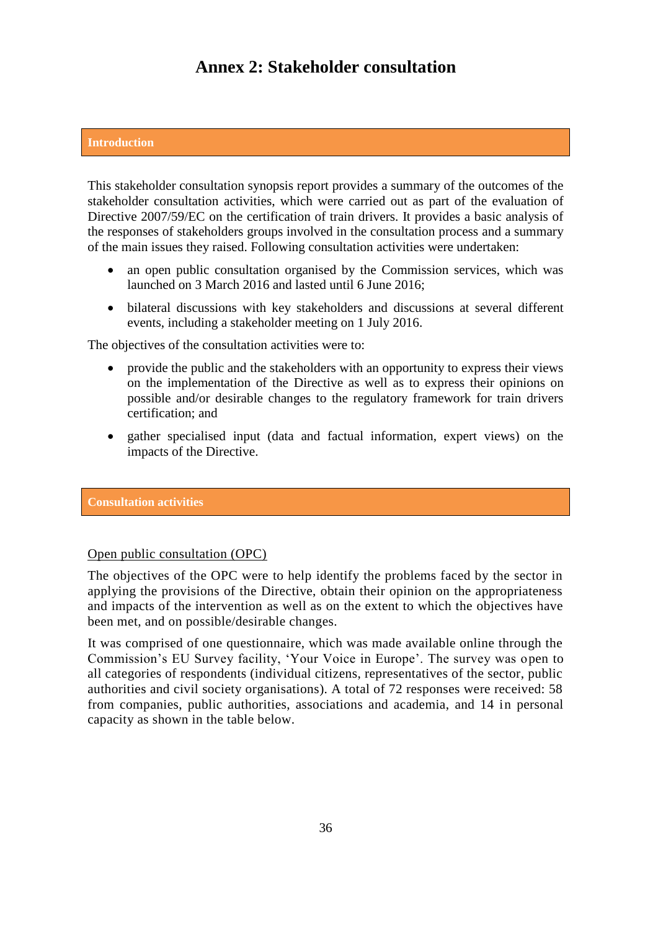# **Annex 2: Stakeholder consultation**

#### **Introduction**

This stakeholder consultation synopsis report provides a summary of the outcomes of the stakeholder consultation activities, which were carried out as part of the evaluation of Directive 2007/59/EC on the certification of train drivers. It provides a basic analysis of the responses of stakeholders groups involved in the consultation process and a summary of the main issues they raised. Following consultation activities were undertaken:

- an open public consultation organised by the Commission services, which was launched on 3 March 2016 and lasted until 6 June 2016;
- bilateral discussions with key stakeholders and discussions at several different events, including a stakeholder meeting on 1 July 2016.

The objectives of the consultation activities were to:

- provide the public and the stakeholders with an opportunity to express their views on the implementation of the Directive as well as to express their opinions on possible and/or desirable changes to the regulatory framework for train drivers certification; and
- gather specialised input (data and factual information, expert views) on the impacts of the Directive.

#### **Consultation activities**

#### Open public consultation (OPC)

The objectives of the OPC were to help identify the problems faced by the sector in applying the provisions of the Directive, obtain their opinion on the appropriateness and impacts of the intervention as well as on the extent to which the objectives have been met, and on possible/desirable changes.

It was comprised of one questionnaire, which was made available online through the Commission's EU Survey facility, 'Your Voice in Europe'. The survey was open to all categories of respondents (individual citizens, representatives of the sector, public authorities and civil society organisations). A total of 72 responses were received: 58 from companies, public authorities, associations and academia, and 14 in personal capacity as shown in the table below.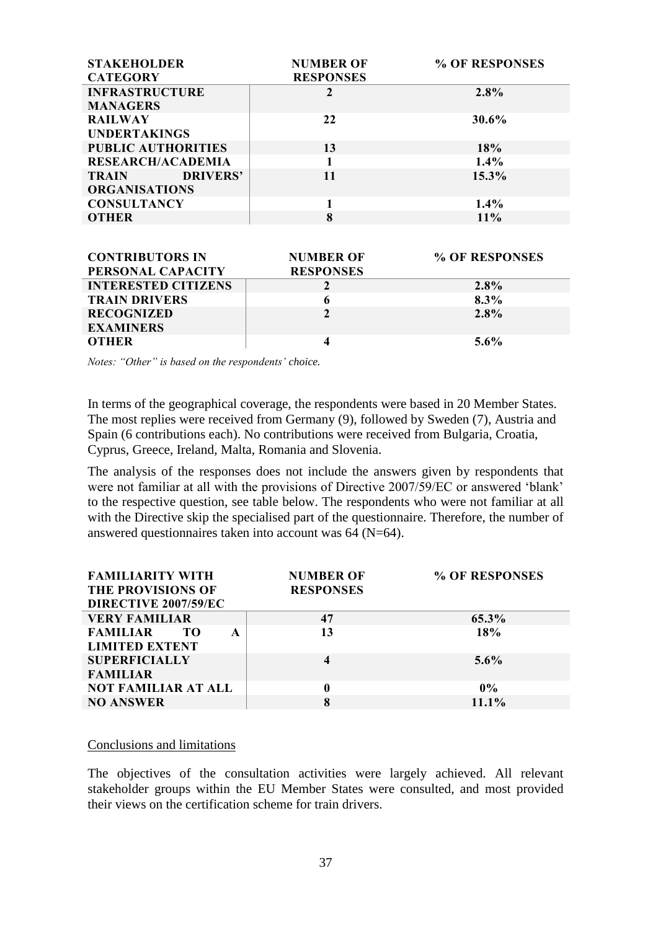| <b>STAKEHOLDER</b>              | <b>NUMBER OF</b> | % OF RESPONSES |
|---------------------------------|------------------|----------------|
| <b>CATEGORY</b>                 | <b>RESPONSES</b> |                |
| <b>INFRASTRUCTURE</b>           |                  | 2.8%           |
| <b>MANAGERS</b>                 |                  |                |
| <b>RAILWAY</b>                  | 22               | 30.6%          |
| <b>UNDERTAKINGS</b>             |                  |                |
| <b>PUBLIC AUTHORITIES</b>       | 13               | 18%            |
| <b>RESEARCH/ACADEMIA</b>        |                  | $1.4\%$        |
| <b>DRIVERS'</b><br><b>TRAIN</b> | 11               | $15.3\%$       |
| <b>ORGANISATIONS</b>            |                  |                |
| <b>CONSULTANCY</b>              |                  | $1.4\%$        |
| OTHER                           | 8                | 11%            |

| <b>CONTRIBUTORS IN</b><br>PERSONAL CAPACITY | <b>NUMBER OF</b><br><b>RESPONSES</b> | % OF RESPONSES |
|---------------------------------------------|--------------------------------------|----------------|
| <b>INTERESTED CITIZENS</b>                  |                                      | 2.8%           |
| <b>TRAIN DRIVERS</b>                        |                                      | $8.3\%$        |
| <b>RECOGNIZED</b>                           |                                      | $2.8\%$        |
| <b>EXAMINERS</b>                            |                                      |                |
| <b>OTHER</b>                                |                                      | $5.6\%$        |

*Notes: "Other" is based on the respondents' choice.*

In terms of the geographical coverage, the respondents were based in 20 Member States. The most replies were received from Germany (9), followed by Sweden (7), Austria and Spain (6 contributions each). No contributions were received from Bulgaria, Croatia, Cyprus, Greece, Ireland, Malta, Romania and Slovenia.

The analysis of the responses does not include the answers given by respondents that were not familiar at all with the provisions of Directive 2007/59/EC or answered 'blank' to the respective question, see table below. The respondents who were not familiar at all with the Directive skip the specialised part of the questionnaire. Therefore, the number of answered questionnaires taken into account was 64 (N=64).

| <b>FAMILIARITY WITH</b><br>THE PROVISIONS OF<br>DIRECTIVE 2007/59/EC | <b>NUMBER OF</b><br><b>RESPONSES</b> | % OF RESPONSES |
|----------------------------------------------------------------------|--------------------------------------|----------------|
| <b>VERY FAMILIAR</b>                                                 | 47                                   | 65.3%          |
| <b>FAMILIAR</b><br>ΤО<br>A                                           | 13                                   | 18%            |
| <b>LIMITED EXTENT</b>                                                |                                      |                |
| <b>SUPERFICIALLY</b>                                                 |                                      | $5.6\%$        |
| <b>FAMILIAR</b>                                                      |                                      |                |
| <b>NOT FAMILIAR AT ALL</b>                                           | 0                                    | $0\%$          |
| <b>NO ANSWER</b>                                                     | 8                                    | 11.1%          |

#### Conclusions and limitations

The objectives of the consultation activities were largely achieved. All relevant stakeholder groups within the EU Member States were consulted, and most provided their views on the certification scheme for train drivers.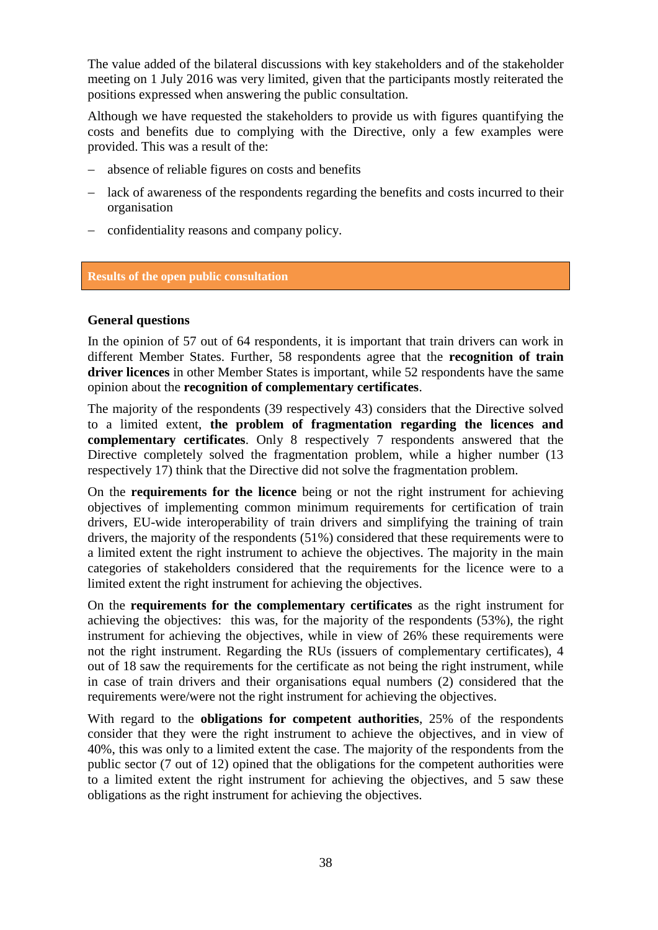The value added of the bilateral discussions with key stakeholders and of the stakeholder meeting on 1 July 2016 was very limited, given that the participants mostly reiterated the positions expressed when answering the public consultation.

Although we have requested the stakeholders to provide us with figures quantifying the costs and benefits due to complying with the Directive, only a few examples were provided. This was a result of the:

- absence of reliable figures on costs and benefits
- lack of awareness of the respondents regarding the benefits and costs incurred to their organisation
- confidentiality reasons and company policy.

#### **Results of the open public consultation**

#### **General questions**

In the opinion of 57 out of 64 respondents, it is important that train drivers can work in different Member States. Further, 58 respondents agree that the **recognition of train driver licences** in other Member States is important, while 52 respondents have the same opinion about the **recognition of complementary certificates**.

The majority of the respondents (39 respectively 43) considers that the Directive solved to a limited extent, **the problem of fragmentation regarding the licences and complementary certificates**. Only 8 respectively 7 respondents answered that the Directive completely solved the fragmentation problem, while a higher number (13 respectively 17) think that the Directive did not solve the fragmentation problem.

On the **requirements for the licence** being or not the right instrument for achieving objectives of implementing common minimum requirements for certification of train drivers, EU-wide interoperability of train drivers and simplifying the training of train drivers, the majority of the respondents (51%) considered that these requirements were to a limited extent the right instrument to achieve the objectives. The majority in the main categories of stakeholders considered that the requirements for the licence were to a limited extent the right instrument for achieving the objectives.

On the **requirements for the complementary certificates** as the right instrument for achieving the objectives: this was, for the majority of the respondents (53%), the right instrument for achieving the objectives, while in view of 26% these requirements were not the right instrument. Regarding the RUs (issuers of complementary certificates), 4 out of 18 saw the requirements for the certificate as not being the right instrument, while in case of train drivers and their organisations equal numbers (2) considered that the requirements were/were not the right instrument for achieving the objectives.

With regard to the **obligations for competent authorities**, 25% of the respondents consider that they were the right instrument to achieve the objectives, and in view of 40%, this was only to a limited extent the case. The majority of the respondents from the public sector (7 out of 12) opined that the obligations for the competent authorities were to a limited extent the right instrument for achieving the objectives, and 5 saw these obligations as the right instrument for achieving the objectives.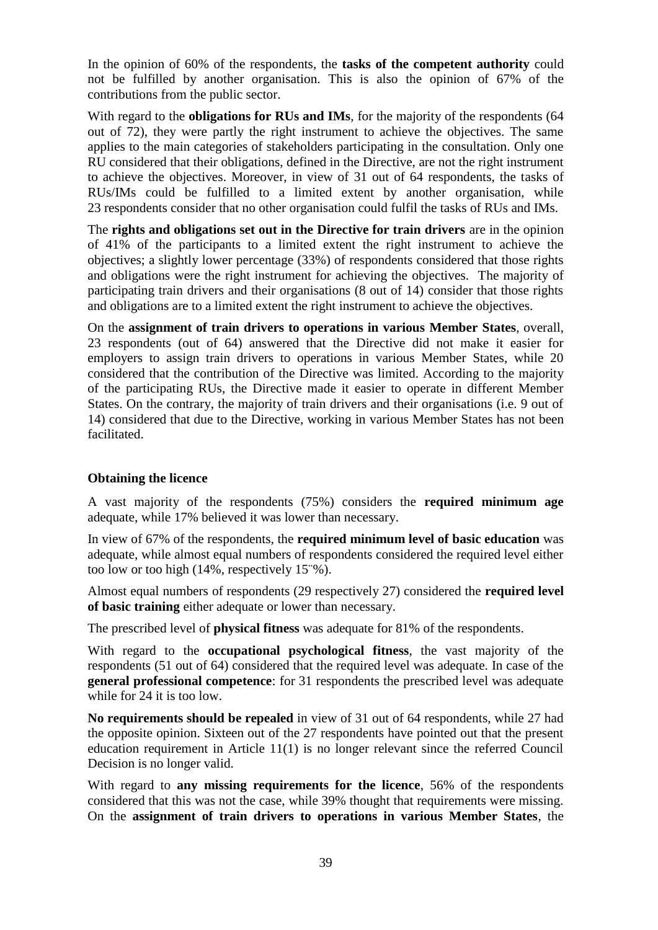In the opinion of 60% of the respondents, the **tasks of the competent authority** could not be fulfilled by another organisation. This is also the opinion of 67% of the contributions from the public sector.

With regard to the **obligations for RUs and IMs**, for the majority of the respondents (64 out of 72), they were partly the right instrument to achieve the objectives. The same applies to the main categories of stakeholders participating in the consultation. Only one RU considered that their obligations, defined in the Directive, are not the right instrument to achieve the objectives. Moreover, in view of 31 out of 64 respondents, the tasks of RUs/IMs could be fulfilled to a limited extent by another organisation, while 23 respondents consider that no other organisation could fulfil the tasks of RUs and IMs.

The **rights and obligations set out in the Directive for train drivers** are in the opinion of 41% of the participants to a limited extent the right instrument to achieve the objectives; a slightly lower percentage (33%) of respondents considered that those rights and obligations were the right instrument for achieving the objectives. The majority of participating train drivers and their organisations (8 out of 14) consider that those rights and obligations are to a limited extent the right instrument to achieve the objectives.

On the **assignment of train drivers to operations in various Member States**, overall, 23 respondents (out of 64) answered that the Directive did not make it easier for employers to assign train drivers to operations in various Member States, while 20 considered that the contribution of the Directive was limited. According to the majority of the participating RUs, the Directive made it easier to operate in different Member States. On the contrary, the majority of train drivers and their organisations (i.e. 9 out of 14) considered that due to the Directive, working in various Member States has not been facilitated.

# **Obtaining the licence**

A vast majority of the respondents (75%) considers the **required minimum age** adequate, while 17% believed it was lower than necessary.

In view of 67% of the respondents, the **required minimum level of basic education** was adequate, while almost equal numbers of respondents considered the required level either too low or too high (14%, respectively 15¨%).

Almost equal numbers of respondents (29 respectively 27) considered the **required level of basic training** either adequate or lower than necessary.

The prescribed level of **physical fitness** was adequate for 81% of the respondents.

With regard to the **occupational psychological fitness**, the vast majority of the respondents (51 out of 64) considered that the required level was adequate. In case of the **general professional competence**: for 31 respondents the prescribed level was adequate while for 24 it is too low.

**No requirements should be repealed** in view of 31 out of 64 respondents, while 27 had the opposite opinion. Sixteen out of the 27 respondents have pointed out that the present education requirement in Article 11(1) is no longer relevant since the referred Council Decision is no longer valid.

With regard to **any missing requirements for the licence**, 56% of the respondents considered that this was not the case, while 39% thought that requirements were missing. On the **assignment of train drivers to operations in various Member States**, the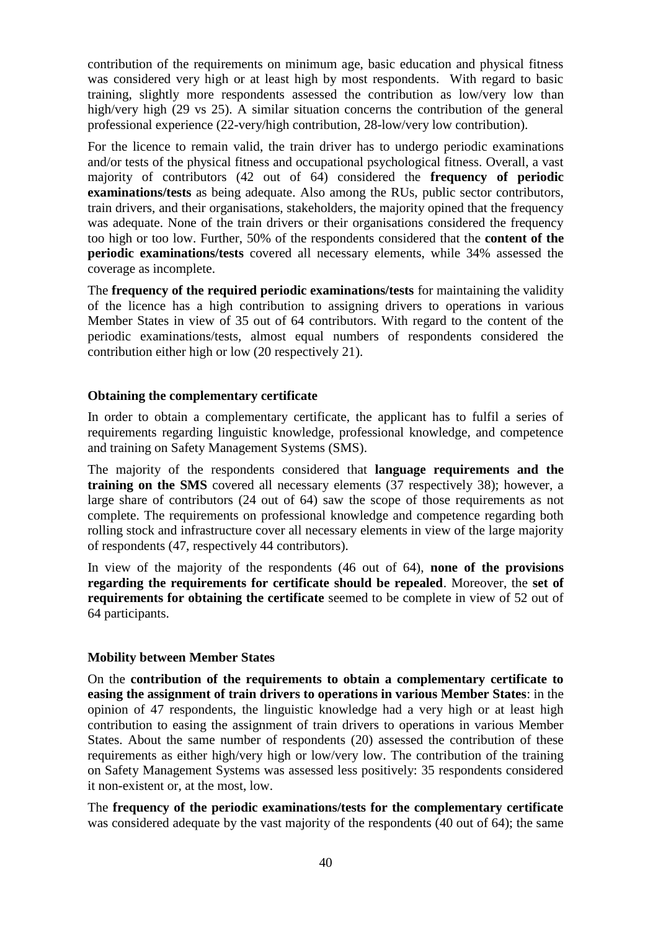contribution of the requirements on minimum age, basic education and physical fitness was considered very high or at least high by most respondents. With regard to basic training, slightly more respondents assessed the contribution as low/very low than high/very high (29 vs 25). A similar situation concerns the contribution of the general professional experience (22-very/high contribution, 28-low/very low contribution).

For the licence to remain valid, the train driver has to undergo periodic examinations and/or tests of the physical fitness and occupational psychological fitness. Overall, a vast majority of contributors (42 out of 64) considered the **frequency of periodic examinations/tests** as being adequate. Also among the RUs, public sector contributors, train drivers, and their organisations, stakeholders, the majority opined that the frequency was adequate. None of the train drivers or their organisations considered the frequency too high or too low. Further, 50% of the respondents considered that the **content of the periodic examinations/tests** covered all necessary elements, while 34% assessed the coverage as incomplete.

The **frequency of the required periodic examinations/tests** for maintaining the validity of the licence has a high contribution to assigning drivers to operations in various Member States in view of 35 out of 64 contributors. With regard to the content of the periodic examinations/tests, almost equal numbers of respondents considered the contribution either high or low (20 respectively 21).

#### **Obtaining the complementary certificate**

In order to obtain a complementary certificate, the applicant has to fulfil a series of requirements regarding linguistic knowledge, professional knowledge, and competence and training on Safety Management Systems (SMS).

The majority of the respondents considered that **language requirements and the training on the SMS** covered all necessary elements (37 respectively 38); however, a large share of contributors (24 out of 64) saw the scope of those requirements as not complete. The requirements on professional knowledge and competence regarding both rolling stock and infrastructure cover all necessary elements in view of the large majority of respondents (47, respectively 44 contributors).

In view of the majority of the respondents (46 out of 64), **none of the provisions regarding the requirements for certificate should be repealed**. Moreover, the **set of requirements for obtaining the certificate** seemed to be complete in view of 52 out of 64 participants.

#### **Mobility between Member States**

On the **contribution of the requirements to obtain a complementary certificate to easing the assignment of train drivers to operations in various Member States**: in the opinion of 47 respondents, the linguistic knowledge had a very high or at least high contribution to easing the assignment of train drivers to operations in various Member States. About the same number of respondents (20) assessed the contribution of these requirements as either high/very high or low/very low. The contribution of the training on Safety Management Systems was assessed less positively: 35 respondents considered it non-existent or, at the most, low.

The **frequency of the periodic examinations/tests for the complementary certificate** was considered adequate by the vast majority of the respondents (40 out of 64); the same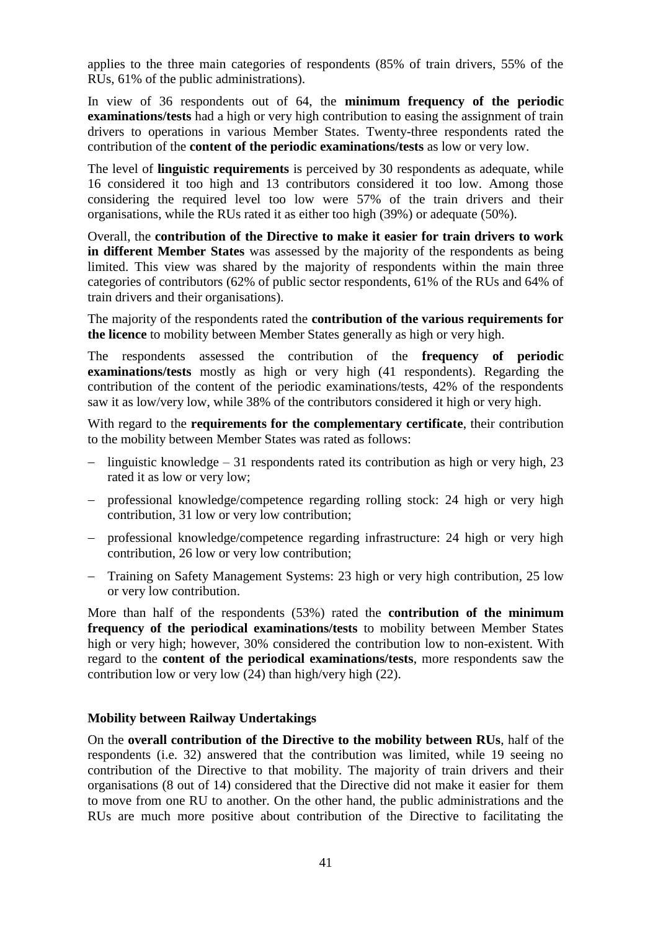applies to the three main categories of respondents (85% of train drivers, 55% of the RUs, 61% of the public administrations).

In view of 36 respondents out of 64, the **minimum frequency of the periodic examinations/tests** had a high or very high contribution to easing the assignment of train drivers to operations in various Member States. Twenty-three respondents rated the contribution of the **content of the periodic examinations/tests** as low or very low.

The level of **linguistic requirements** is perceived by 30 respondents as adequate, while 16 considered it too high and 13 contributors considered it too low. Among those considering the required level too low were 57% of the train drivers and their organisations, while the RUs rated it as either too high (39%) or adequate (50%).

Overall, the **contribution of the Directive to make it easier for train drivers to work in different Member States** was assessed by the majority of the respondents as being limited. This view was shared by the majority of respondents within the main three categories of contributors (62% of public sector respondents, 61% of the RUs and 64% of train drivers and their organisations).

The majority of the respondents rated the **contribution of the various requirements for the licence** to mobility between Member States generally as high or very high.

The respondents assessed the contribution of the **frequency of periodic examinations/tests** mostly as high or very high (41 respondents). Regarding the contribution of the content of the periodic examinations/tests, 42% of the respondents saw it as low/very low, while 38% of the contributors considered it high or very high.

With regard to the **requirements for the complementary certificate**, their contribution to the mobility between Member States was rated as follows:

- linguistic knowledge 31 respondents rated its contribution as high or very high,  $23$ rated it as low or very low;
- professional knowledge/competence regarding rolling stock: 24 high or very high contribution, 31 low or very low contribution;
- professional knowledge/competence regarding infrastructure: 24 high or very high contribution, 26 low or very low contribution;
- Training on Safety Management Systems: 23 high or very high contribution, 25 low or very low contribution.

More than half of the respondents (53%) rated the **contribution of the minimum frequency of the periodical examinations/tests** to mobility between Member States high or very high; however, 30% considered the contribution low to non-existent. With regard to the **content of the periodical examinations/tests**, more respondents saw the contribution low or very low (24) than high/very high (22).

## **Mobility between Railway Undertakings**

On the **overall contribution of the Directive to the mobility between RUs**, half of the respondents (i.e. 32) answered that the contribution was limited, while 19 seeing no contribution of the Directive to that mobility. The majority of train drivers and their organisations (8 out of 14) considered that the Directive did not make it easier for them to move from one RU to another. On the other hand, the public administrations and the RUs are much more positive about contribution of the Directive to facilitating the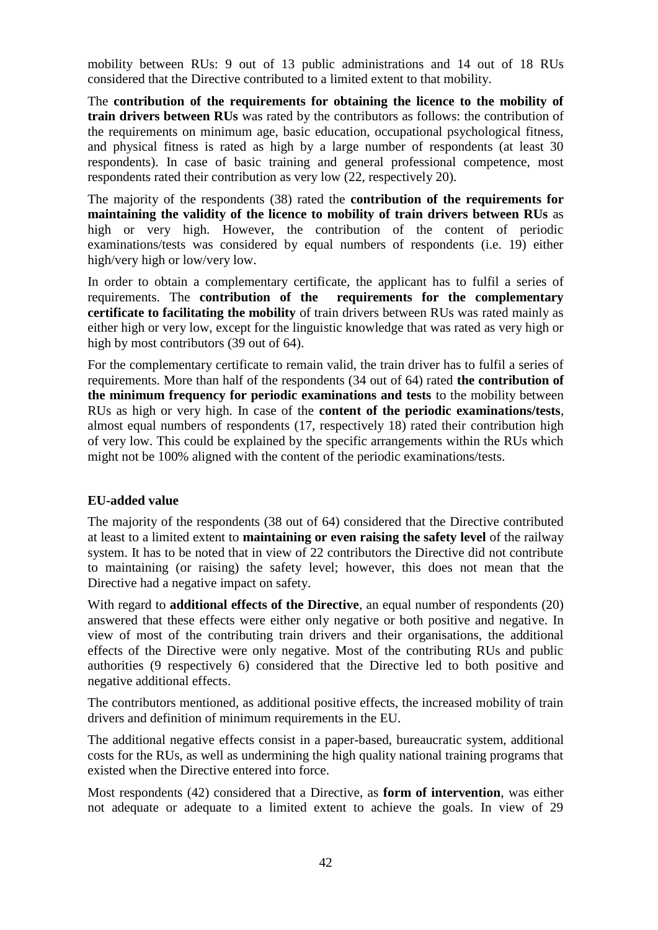mobility between RUs: 9 out of 13 public administrations and 14 out of 18 RUs considered that the Directive contributed to a limited extent to that mobility.

The **contribution of the requirements for obtaining the licence to the mobility of train drivers between RUs** was rated by the contributors as follows: the contribution of the requirements on minimum age, basic education, occupational psychological fitness, and physical fitness is rated as high by a large number of respondents (at least 30 respondents). In case of basic training and general professional competence, most respondents rated their contribution as very low (22, respectively 20).

The majority of the respondents (38) rated the **contribution of the requirements for maintaining the validity of the licence to mobility of train drivers between RUs** as high or very high. However, the contribution of the content of periodic examinations/tests was considered by equal numbers of respondents (i.e. 19) either high/very high or low/very low.

In order to obtain a complementary certificate, the applicant has to fulfil a series of requirements. The **contribution of the requirements for the complementary certificate to facilitating the mobility** of train drivers between RUs was rated mainly as either high or very low, except for the linguistic knowledge that was rated as very high or high by most contributors (39 out of 64).

For the complementary certificate to remain valid, the train driver has to fulfil a series of requirements. More than half of the respondents (34 out of 64) rated **the contribution of the minimum frequency for periodic examinations and tests** to the mobility between RUs as high or very high. In case of the **content of the periodic examinations/tests**, almost equal numbers of respondents (17, respectively 18) rated their contribution high of very low. This could be explained by the specific arrangements within the RUs which might not be 100% aligned with the content of the periodic examinations/tests.

## **EU-added value**

The majority of the respondents (38 out of 64) considered that the Directive contributed at least to a limited extent to **maintaining or even raising the safety level** of the railway system. It has to be noted that in view of 22 contributors the Directive did not contribute to maintaining (or raising) the safety level; however, this does not mean that the Directive had a negative impact on safety.

With regard to **additional effects of the Directive**, an equal number of respondents (20) answered that these effects were either only negative or both positive and negative. In view of most of the contributing train drivers and their organisations, the additional effects of the Directive were only negative. Most of the contributing RUs and public authorities (9 respectively 6) considered that the Directive led to both positive and negative additional effects.

The contributors mentioned, as additional positive effects, the increased mobility of train drivers and definition of minimum requirements in the EU.

The additional negative effects consist in a paper-based, bureaucratic system, additional costs for the RUs, as well as undermining the high quality national training programs that existed when the Directive entered into force.

Most respondents (42) considered that a Directive, as **form of intervention**, was either not adequate or adequate to a limited extent to achieve the goals. In view of 29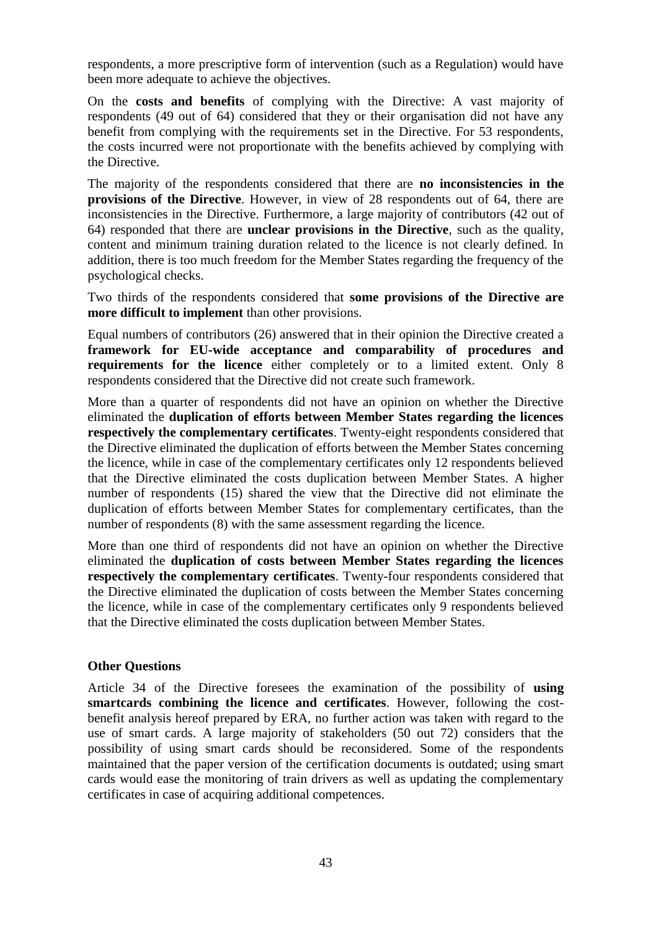respondents, a more prescriptive form of intervention (such as a Regulation) would have been more adequate to achieve the objectives.

On the **costs and benefits** of complying with the Directive: A vast majority of respondents (49 out of 64) considered that they or their organisation did not have any benefit from complying with the requirements set in the Directive. For 53 respondents, the costs incurred were not proportionate with the benefits achieved by complying with the Directive.

The majority of the respondents considered that there are **no inconsistencies in the provisions of the Directive**. However, in view of 28 respondents out of 64, there are inconsistencies in the Directive. Furthermore, a large majority of contributors (42 out of 64) responded that there are **unclear provisions in the Directive**, such as the quality, content and minimum training duration related to the licence is not clearly defined. In addition, there is too much freedom for the Member States regarding the frequency of the psychological checks.

Two thirds of the respondents considered that **some provisions of the Directive are more difficult to implement** than other provisions.

Equal numbers of contributors (26) answered that in their opinion the Directive created a **framework for EU-wide acceptance and comparability of procedures and requirements for the licence** either completely or to a limited extent. Only 8 respondents considered that the Directive did not create such framework.

More than a quarter of respondents did not have an opinion on whether the Directive eliminated the **duplication of efforts between Member States regarding the licences respectively the complementary certificates**. Twenty-eight respondents considered that the Directive eliminated the duplication of efforts between the Member States concerning the licence, while in case of the complementary certificates only 12 respondents believed that the Directive eliminated the costs duplication between Member States. A higher number of respondents (15) shared the view that the Directive did not eliminate the duplication of efforts between Member States for complementary certificates, than the number of respondents (8) with the same assessment regarding the licence.

More than one third of respondents did not have an opinion on whether the Directive eliminated the **duplication of costs between Member States regarding the licences respectively the complementary certificates**. Twenty-four respondents considered that the Directive eliminated the duplication of costs between the Member States concerning the licence, while in case of the complementary certificates only 9 respondents believed that the Directive eliminated the costs duplication between Member States.

#### **Other Questions**

Article 34 of the Directive foresees the examination of the possibility of **using smartcards combining the licence and certificates**. However, following the costbenefit analysis hereof prepared by ERA, no further action was taken with regard to the use of smart cards. A large majority of stakeholders (50 out 72) considers that the possibility of using smart cards should be reconsidered. Some of the respondents maintained that the paper version of the certification documents is outdated; using smart cards would ease the monitoring of train drivers as well as updating the complementary certificates in case of acquiring additional competences.